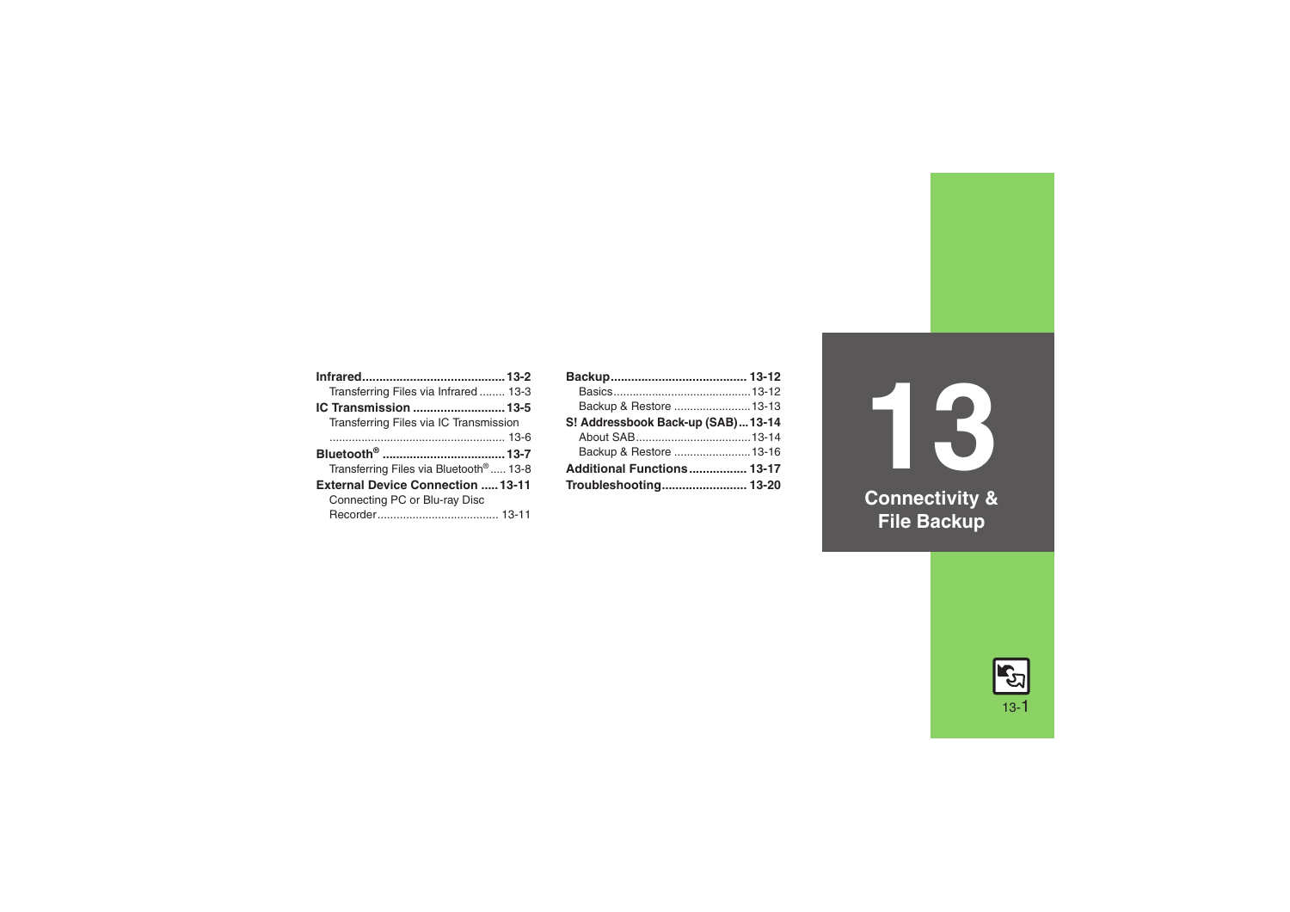| Transferring Files via Infrared 13-3               |  |
|----------------------------------------------------|--|
| IC Transmission 13-5                               |  |
| Transferring Files via IC Transmission             |  |
|                                                    |  |
|                                                    |  |
| Transferring Files via Bluetooth <sup>®</sup> 13-8 |  |
|                                                    |  |
| <b>External Device Connection  13-11</b>           |  |
| Connecting PC or Blu-ray Disc                      |  |

| Backup & Restore  13-13           |
|-----------------------------------|
| S! Addressbook Back-up (SAB)13-14 |
|                                   |
| Backup & Restore  13-16           |
| Additional Functions 13-17        |
| Troubleshooting 13-20             |
|                                   |

**13 Connectivity & File Backup**

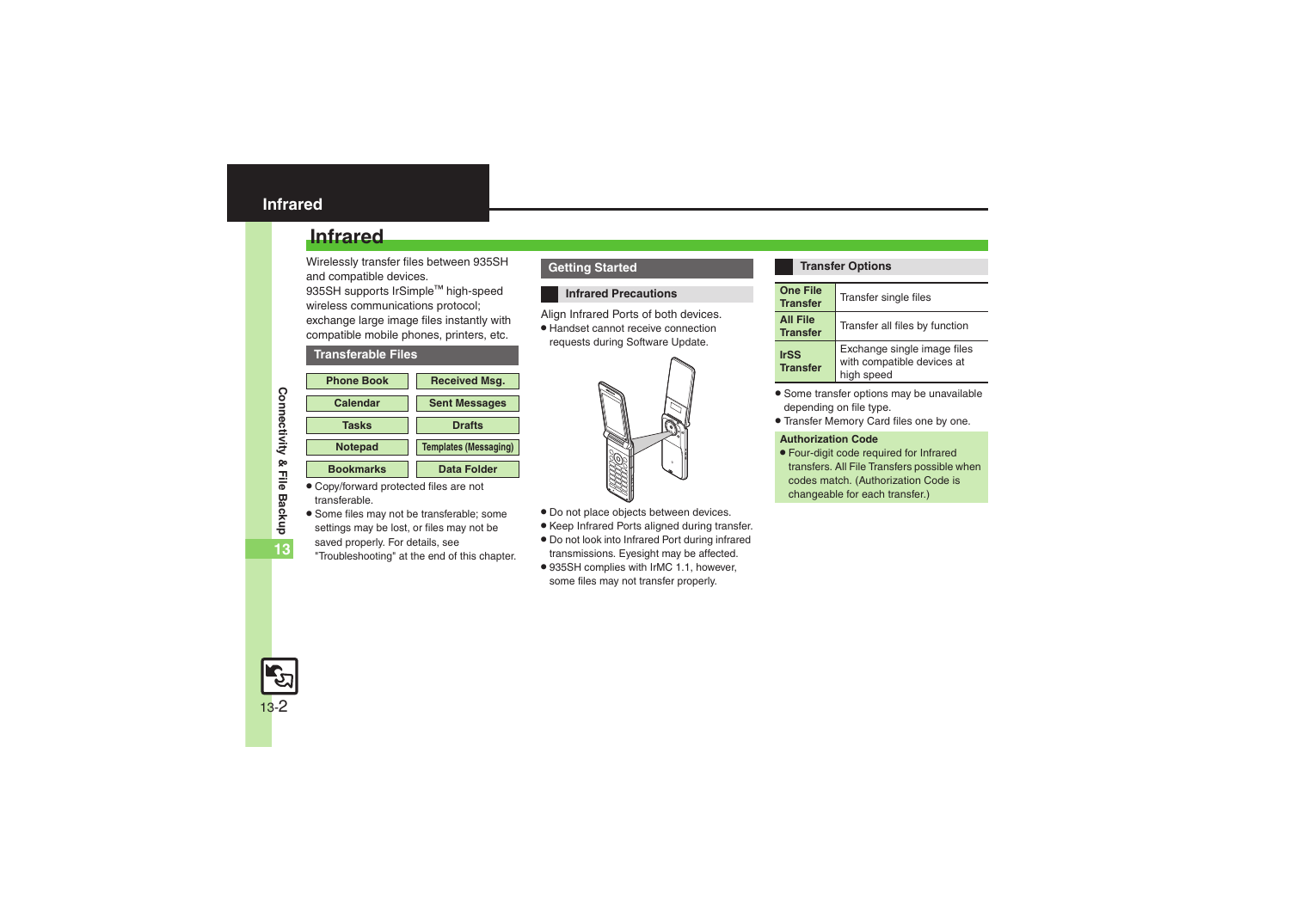## <span id="page-1-1"></span><span id="page-1-0"></span>**Infrared**

Wirelessly transfer files between 935SH and compatible devices.

935SH supports IrSimple™ high-speed wireless communications protocol; exchange large image files instantly with compatible mobile phones, printers, etc.

#### **Transferable Files**

| <b>Phone Book</b> | <b>Received Msq.</b>         |
|-------------------|------------------------------|
| Calendar          | <b>Sent Messages</b>         |
| <b>Tasks</b>      | <b>Drafts</b>                |
| <b>Notepad</b>    | <b>Templates (Messaging)</b> |
| <b>Bookmarks</b>  | <b>Data Folder</b>           |

- . Copy/forward protected files are not transferable.
- . Some files may not be transferable; some settings may be lost, or files may not be saved properly. For details, see "Troubleshooting" at the end of this chapter.

#### **Getting Started**

#### **Infrared Precautions**

Align Infrared Ports of both devices.

. Handset cannot receive connection requests during Software Update.



- . Do not place objects between devices.
- . Keep Infrared Ports aligned during transfer.
- . Do not look into Infrared Port during infrared transmissions. Eyesight may be affected.
- . 935SH complies with IrMC 1.1, however, some files may not transfer properly.

#### **Transfer Options**

| <b>One File</b><br><b>Transfer</b> | Transfer single files                                                   |
|------------------------------------|-------------------------------------------------------------------------|
| <b>All File</b><br><b>Transfer</b> | Transfer all files by function                                          |
| <b>IrSS</b><br><b>Transfer</b>     | Exchange single image files<br>with compatible devices at<br>high speed |

- . Some transfer options may be unavailable depending on file type.
- . Transfer Memory Card files one by one.

#### **Authorization Code**

. Four-digit code required for Infrared transfers. All File Transfers possible when codes match. (Authorization Code is changeable for each transfer.)



**Connectivity & File Backup**

Connectivity & File Backup

**13**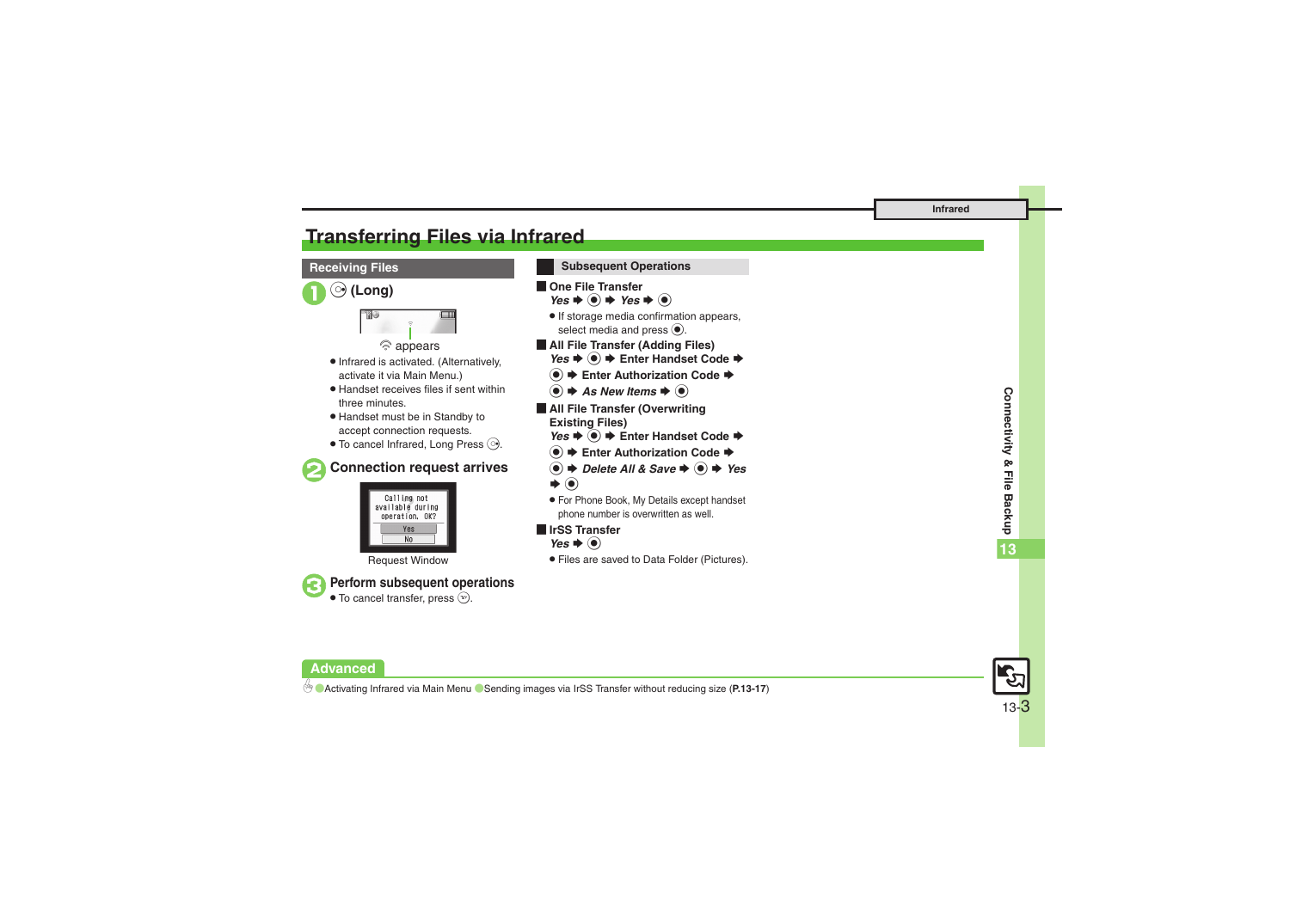## <span id="page-2-0"></span>**Transferring Files via Infrared**



#### **Advanced**

13-3

0([Activating Infrared via Main Menu](#page-16-1) ([Sending images via IrSS Transfer without reducing size](#page-16-2) (**[P.13-17](#page-16-1)**)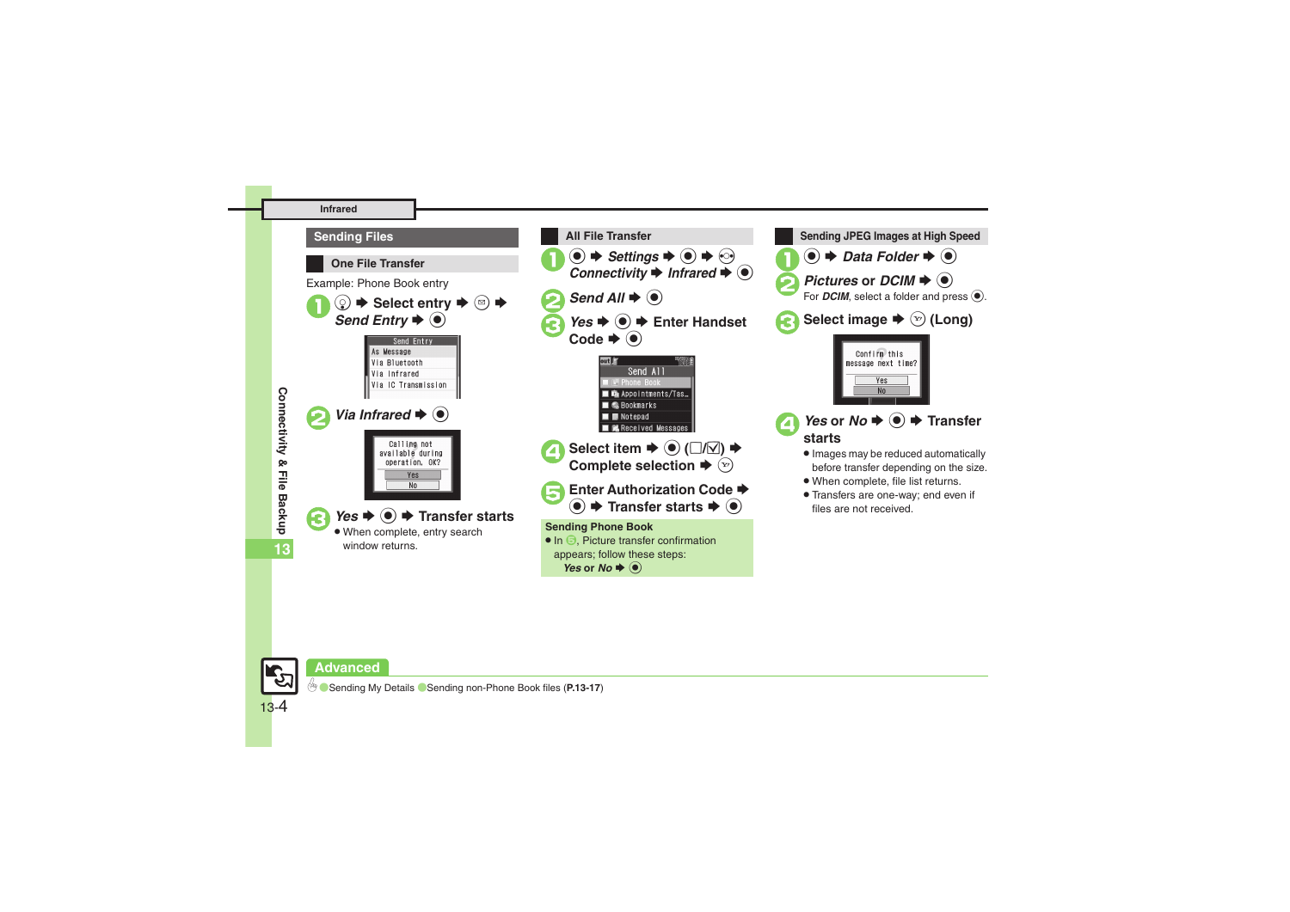#### **Infrared**



### **Advanced**

13-4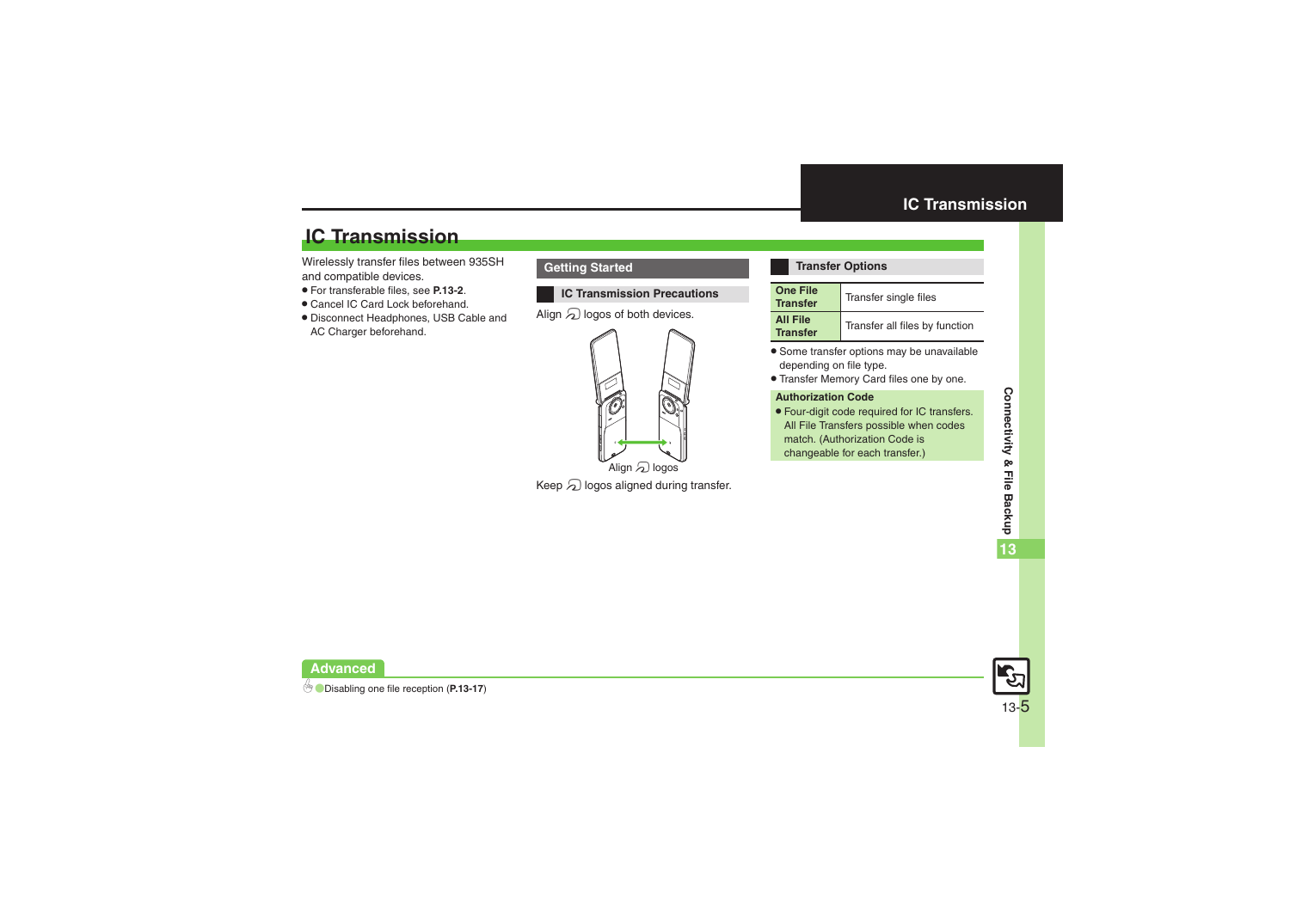## **IC Transmission**

Wirelessly transfer files between 935SH and compatible devices.

- . For transferable files, see **[P.13-2](#page-1-1)**.
- . Cancel IC Card Lock beforehand.
- . Disconnect Headphones, USB Cable and AC Charger beforehand.

#### **Getting Started**

#### **IC Transmission Precautions**

Align  $\mathfrak A$  logos of both devices.



Keep  $\varpi$  logos aligned during transfer.

#### <span id="page-4-0"></span>**Transfer Options**

| <b>One File</b><br><b>Transfer</b> | Transfer single files          |
|------------------------------------|--------------------------------|
| <b>All File</b><br><b>Transfer</b> | Transfer all files by function |

- . Some transfer options may be unavailable depending on file type.
- . Transfer Memory Card files one by one.

#### **Authorization Code**

. Four-digit code required for IC transfers. All File Transfers possible when codes match. (Authorization Code is changeable for each transfer.)



**Advanced**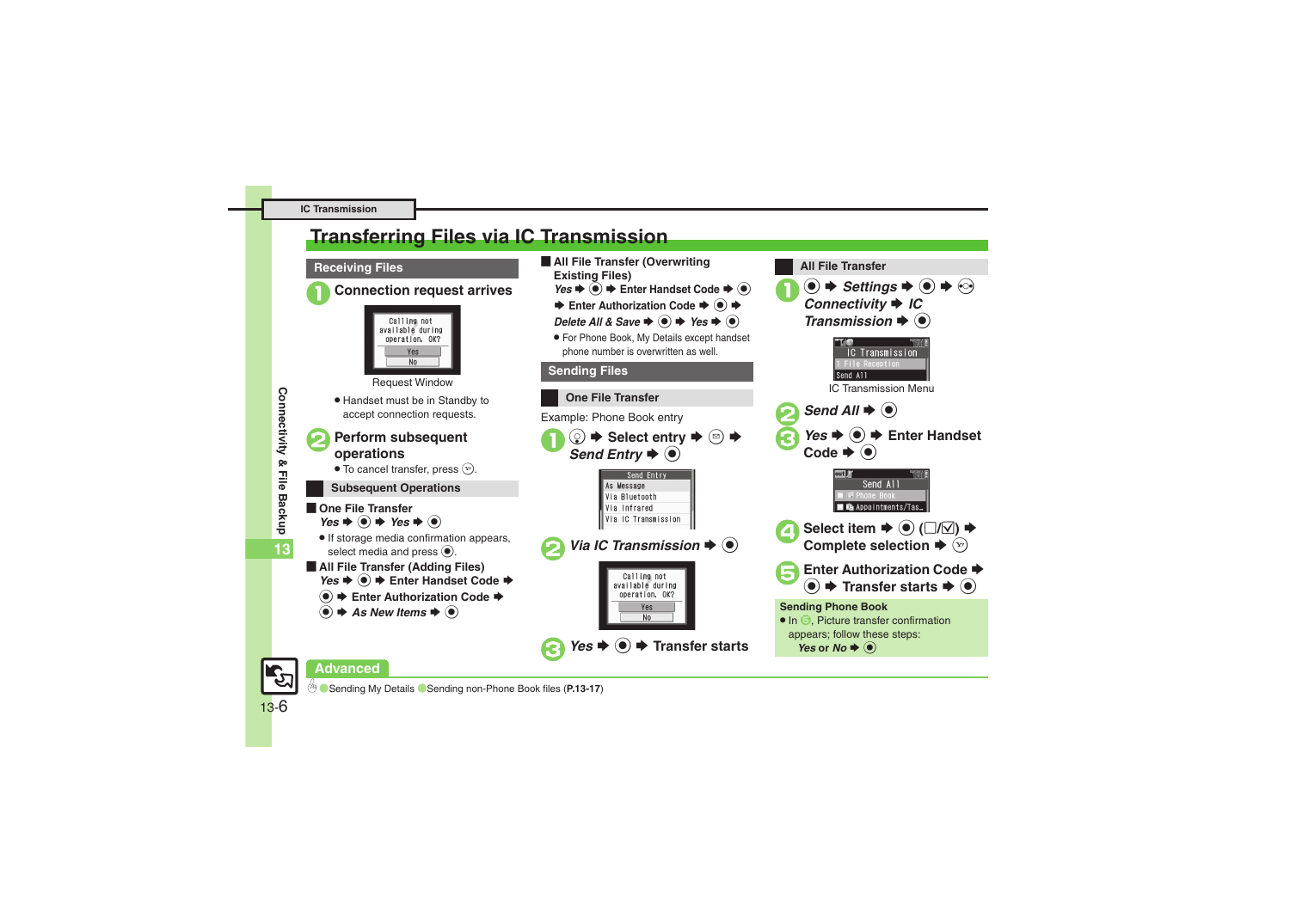#### **IC Transmission**

## <span id="page-5-0"></span>**Transferring Files via IC Transmission**

#### **Receiving Files**







Request Window

. Handset must be in Standby to accept connection requests.

## <sup>2</sup>**Perform subsequent operations**

 $\bullet$  To cancel transfer, press  $\circledast$ .

#### **Subsequent Operations**

- **De File Transfer**  $Yes + @ + Yes + @$ 
	- . If storage media confirmation appears, select media and press  $\odot$ .
- [ **All File Transfer (Adding Files)** *Yes*  $\bullet$  **●** Fnter Handset Code  $\bullet$ 
	- **<sup>●</sup>**  $\rightarrow$  **Enter Authorization Code →**
	- $\bullet$   $\bullet$  As New Items  $\bullet$   $\bullet$
- **E** All File Transfer (Overwriting **Existing Files)**
	- *Yes*  $\bullet$  **●**  $\bullet$  Enter Handset Code  $\bullet$
	- **Enter Authorization Code → + +**
	- *Delete All & Save*  $\rightarrow$  *Yes*  $\rightarrow$  **③**
	- . For Phone Book, My Details except handset phone number is overwritten as well.



 $\langle \bullet \rangle \bullet$  *Settings*  $\bullet \langle \bullet \rangle \bullet$   $\langle \bullet \rangle$ <br>*Connectivity*  $\bullet$  *IC* 

*Transmission*  $\blacklozenge$   $\textcircled{\scriptsize{}}$ 

**IC Transmission** 

**All File Transfer**



**Conding My Details Conding non-Phone Book files ([P.13-17](#page-16-5))** 

13-6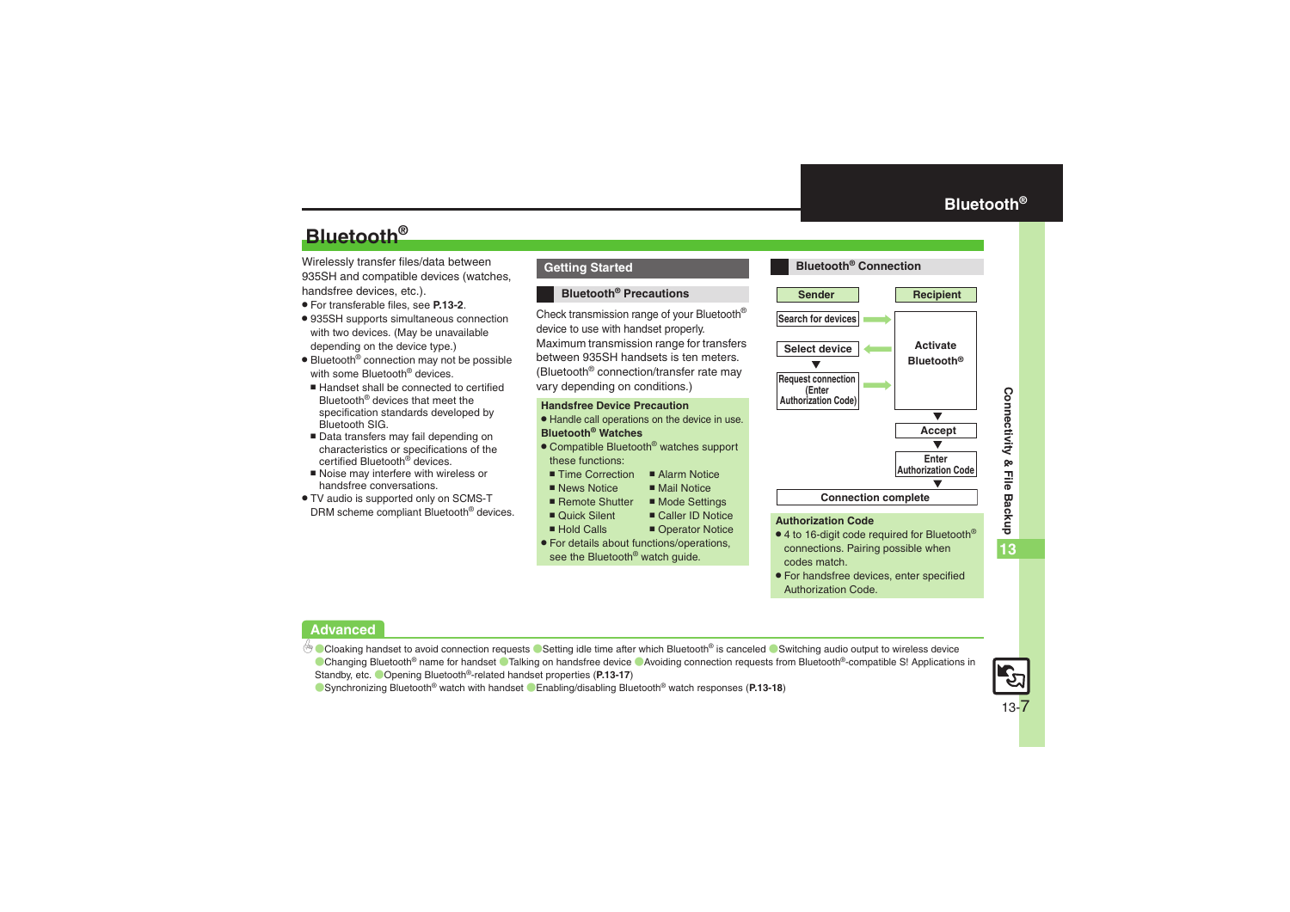## **Bluetooth®**

Wirelessly transfer files/data between 935SH and compatible devices (watches, handsfree devices, etc.).

- . For transferable files, see **[P.13-2](#page-1-1)**.
- . 935SH supports simultaneous connection with two devices. (May be unavailable depending on the device type.)
- Bluetooth<sup>®</sup> connection may not be possible with some Bluetooth<sup>®</sup> devices.
- Handset shall be connected to certified Bluetooth® devices that meet the specification standards developed by Bluetooth SIG.
- Data transfers may fail depending on characteristics or specifications of the certified Bluetooth<sup>®</sup> devices.
- Noise may interfere with wireless or handsfree conversations.
- . TV audio is supported only on SCMS-T DRM scheme compliant Bluetooth® devices.

#### **Getting Started**

#### **Bluetooth® Precautions**

Check transmission range of your Bluetooth® device to use with handset properly. Maximum transmission range for transfers between 935SH handsets is ten meters. (Bluetooth® connection/transfer rate may vary depending on conditions.)

#### **Handsfree Device Precaution**

- . Handle call operations on the device in use. **Bluetooth® Watches**
- Compatible Bluetooth<sup>®</sup> watches support these functions:
	- Time Correction ■ Alarm Notice
	- $\blacksquare$  News Notice
	- $M$ ail Notice ■ Remote Shutter 
	■ Mode Settings
- Ouick Silent
- Hold Calls
- $\blacksquare$  Caller ID Notice ■ Operator Notice
- . For details about functions/operations, see the Bluetooth<sup>®</sup> watch guide.

<span id="page-6-0"></span>

- $\bullet$  4 to 16-digit code required for Bluetooth® connections. Pairing possible when codes match.
- . For handsfree devices, enter specified Authorization Code.

#### **Advanced**

b [Cloaking handset to avoid connection requests](#page-16-8) C[Setting idle time after which Bluetooth](#page-16-9)<sup>®</sup> is canceled C[Switching audio output to wireless device](#page-16-10) ■[Changing Bluetooth](#page-16-11)® name for handset ■[Talking on handsfree device](#page-16-12) ■[Avoiding connection requests from Bluetooth](#page-16-13)®-compatible S! Applications in [Standby, etc.](#page-16-13)  (Opening Bluetooth[®-related handset properties](#page-16-14) (**[P.13-17](#page-16-8)**)

([Synchronizing Bluetooth](#page-17-0)® watch with handset ([Enabling/disabling Bluetooth](#page-17-1)® watch responses (**[P.13-18](#page-17-0)**)

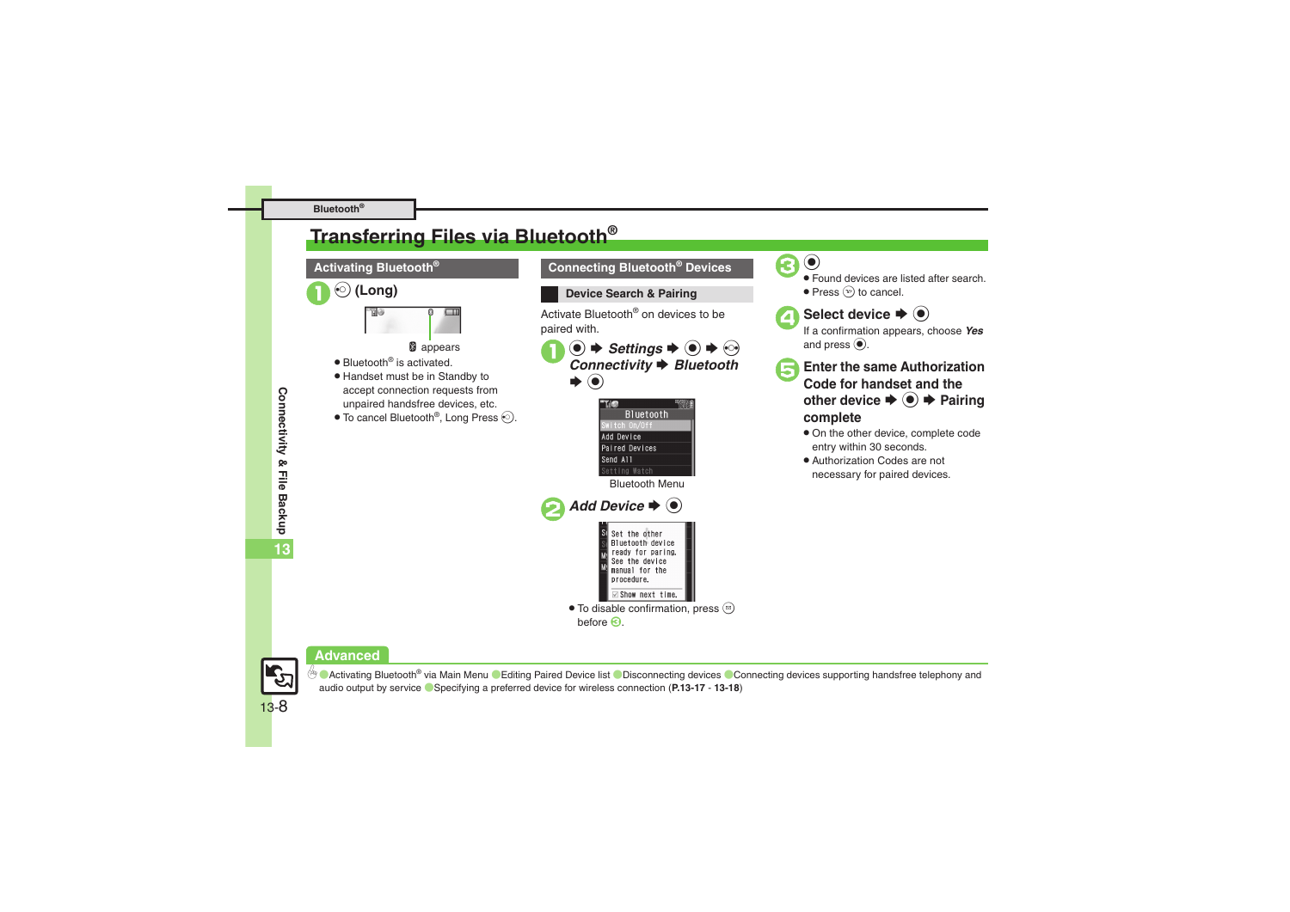#### **Bluetooth®**

## <span id="page-7-0"></span>**Transferring Files via Bluetooth®**

## **Activating Bluetooth®**



**B** appears

- Bluetooth<sup>®</sup> is activated.
- . Handset must be in Standby to accept connection requests from unpaired handsfree devices, etc.
- $\bullet$  To cancel Bluetooth®, Long Press  $\odot$ .



**Device Search & Pairing**

Activate Bluetooth® on devices to be paired with.



 $\circledbullet \Rightarrow$  *Settings*  $\Rightarrow$   $\circledbullet \Rightarrow$   $\circledcirc$ <br>*Connectivity*  $\Rightarrow$  *Bluetooth*  $\odot$ 





 Found devices are listed after search.  $\bullet$  Press  $\circledcirc$  to cancel.



**Select device**  $\Rightarrow$  $\odot$  **If a confirmation appears, choose** *Yes* and press  $\odot$ .

- 5**Enter the same Authorization Code for handset and the other device**  $\blacktriangleright$  **● Pairing complete**
	- . On the other device, complete code entry within 30 seconds.
	- . Authorization Codes are not necessary for paired devices.

Connectivity & File Backup **Connectivity & File Backup 13**

## **Advanced**



<sup>6</sup>® ● [Activating Bluetooth](#page-16-15)® via Main Menu ● [Editing Paired Device list](#page-17-2) ● [Disconnecting devices](#page-17-3) ● Connecting devices supporting handsfree telephony and [audio output by service](#page-17-4) ([Specifying a preferred device for wireless connection](#page-17-5) (**[P.13-17](#page-16-15)** - **[13-18](#page-17-2)**)

13-8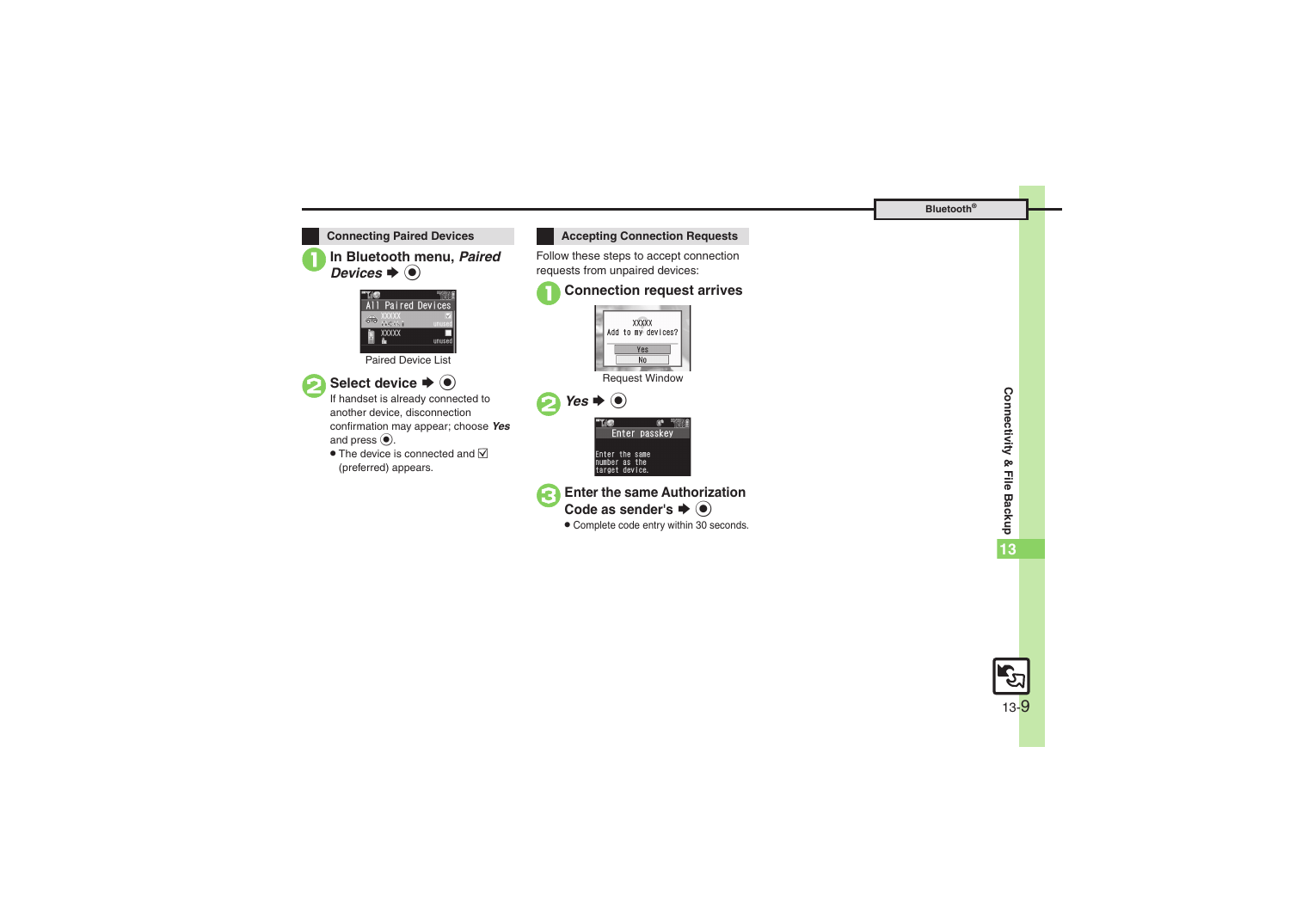

**In Bluetooth menu, Paired**  $\mathbf{s} \mathbin{\blacktriangleright} \mathbf{\Theta}$ 



Paired Device List



**Select device**  $\blacktriangleright$  $\odot$ <br>If handset is already connected to

another device, disconnection confirmation may appear; choose *Yes* and press  $\odot$ .

 $\bullet$  The device is connected and  $\triangledown$ (preferred) appears.



Follow these steps to accept connection requests from unpaired devices:







. Complete code entry within 30 seconds.

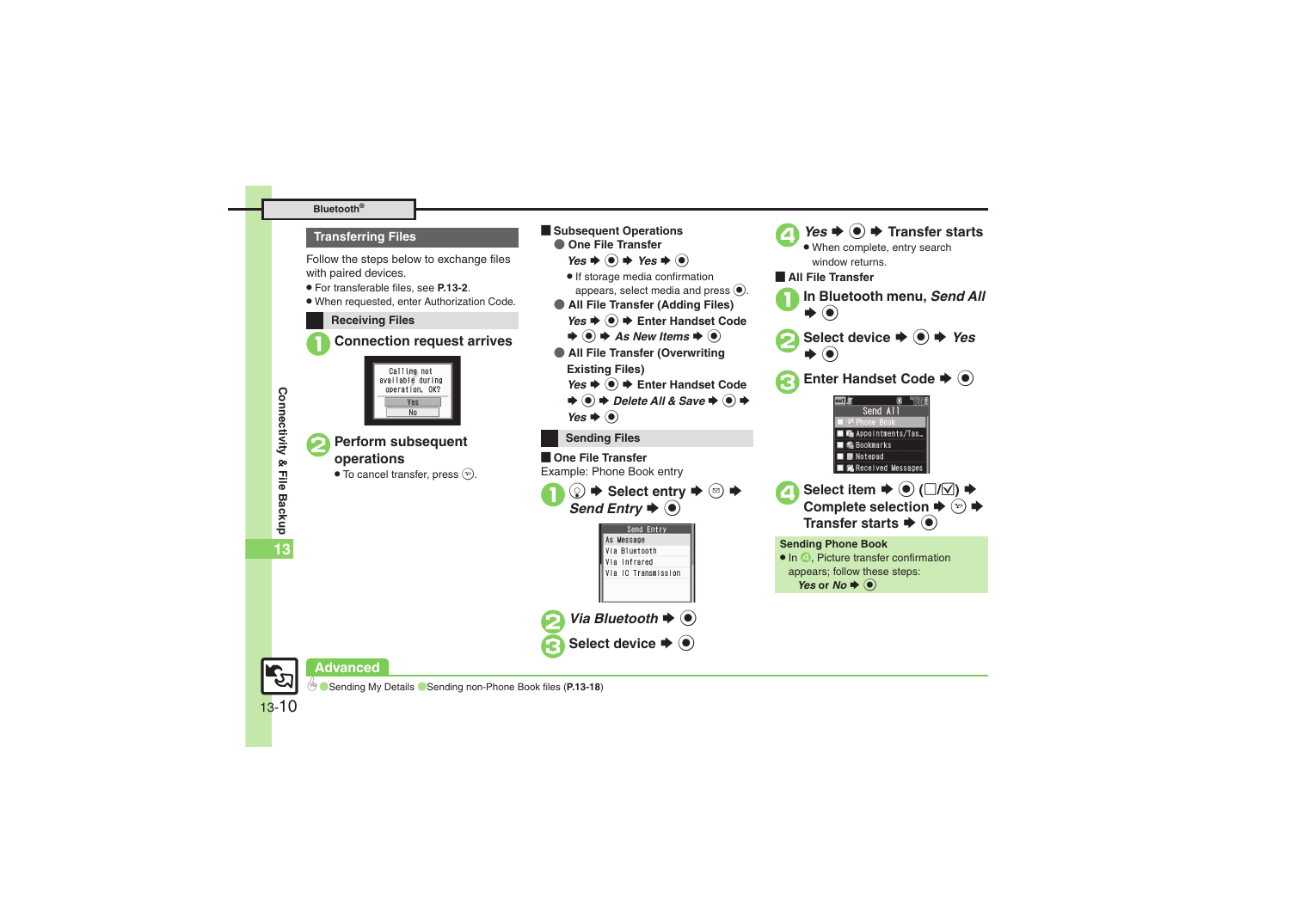#### **Bluetooth®**

#### **Transferring Files**

Follow the steps below to exchange files with paired devices.

- . For transferable files, see **[P.13-2](#page-1-1)**.
- . When requested, enter Authorization Code.

#### **Receiving Files**

1**Connection request arrives**



- <sup>2</sup>**Perform subsequent operations**
	- $\bullet$  To cancel transfer, press  $\circledcirc$ .

*Yes*  $\rightarrow$  **●** Enter Handset Code  $\blacklozenge$   $\blacklozenge$  As New Items  $\blacklozenge$   $\blacklozenge$ ● **All File Transfer (Overwriting Existing Files)** *Yes*  $\rightarrow$  **●** Enter Handset Code  $\Rightarrow$   $\bullet$   $\Rightarrow$  Delete All & Save  $\Rightarrow$   $\bullet$   $\Rightarrow$ *Yes*  $\bullet$   $\odot$ **Sending Files**  $\blacksquare$  One File Transfer Example: Phone Book entry  $\textcircled{2}$   $\blacktriangleright$  Select entry  $\blacktriangleright$  **③**  $\blacktriangleright$  **Send Entry**  $\blacktriangleright$  **●** Send Entry As Message Via Bluetooth Via Infrared Via IC Transmission *Via Bluetooth*  $\blacktriangleright$   $\textcircled{\scriptsize{\bullet}}$ Select device  $\blacktriangleright$  ( $\blacklozenge$ )

**Example Subsequent Operations** ● **One File Transfer**  $Yes + @ + Yes + @$ . If storage media confirmation

 $Yes$   $\blacklozenge$   $\blacklozenge$  **Transfer starts**  When complete, entry search window returns.[ **All File Transfer** appears, select media and press  $\left( \bullet \right)$ . **In Bluetooth menu, Send All** ● **All File Transfer (Adding Files)**  $\rightarrow$  (e) Select device  $\rightarrow$  **●** Yes  $\blacktriangleright$   $\textcircled{\scriptsize{}}$ **Enter Handset Code**  $\rightarrow$  $\bullet$ out F 图 "图 Send All **F** Phone Book **In Ga Appointments/Tas... M C**. Bookmarks  $\blacksquare$   $\blacksquare$  Notepad Received Messages **Select item**  $\blacktriangleright$  **● (** $\Box/\Box$ **)**  $\blacktriangleright$ <br>**Complete selection**  $\blacktriangleright$   $\Box$ )  $\blacktriangleright$ **Transfer starts**  $\blacklozenge$  $\odot$ **Sending Phone Book** • In  $\odot$ , Picture transfer confirmation appears; follow these steps: *Yes* or *No*  $\blacklozenge$   $\odot$ 



13-10

#### **Advanced**

0([Sending My Details](#page-17-6) ([Sending non-Phone Book files](#page-17-7) (**[P.13-18](#page-17-6)**)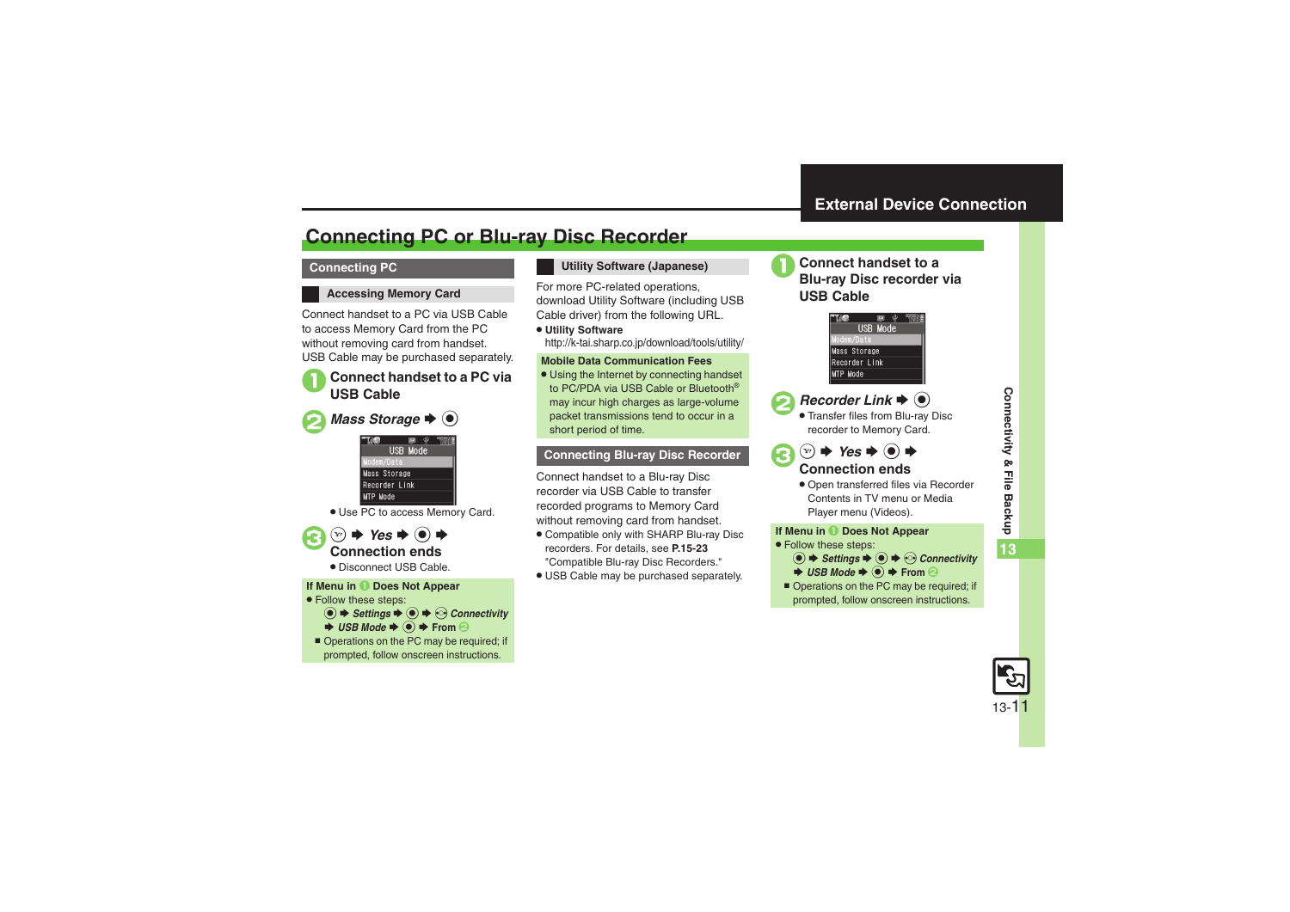## <span id="page-10-1"></span>**Connecting PC or Blu-ray Disc Recorder**

#### **Connecting PC**

#### **Accessing Memory Card**

Connect handset to a PC via USB Cable to access Memory Card from the PC without removing card from handset. USB Cable may be purchased separately.

# 1**Connect handset to a PC via USB Cable**

**2** Mass Storage  $\rightarrow$  <sup>0</sup>



. Use PC to access Memory Card.



#### **Utility Software (Japanese)**

For more PC-related operations, download Utility Software (including USB Cable driver) from the following URL.

. **Utility Software** http://k-tai.sharp.co.jp/download/tools/utility/

#### **Mobile Data Communication Fees**

. Using the Internet by connecting handset to PC/PDA via USB Cable or Bluetooth® may incur high charges as large-volume packet transmissions tend to occur in a short period of time.

#### **Connecting Blu-ray Disc Recorder**

Connect handset to a Blu-ray Disc recorder via USB Cable to transfer recorded programs to Memory Card without removing card from handset.

- . Compatible only with SHARP Blu-ray Disc recorders. For details, see **P.15-23** "Compatible Blu-ray Disc Recorders."
- . USB Cable may be purchased separately.



## <span id="page-10-0"></span><sup>1</sup>**Connect handset to a Blu-ray Disc recorder via USB Cable**





## **2** Recorder Link  $\rightarrow$  <sup>0</sup>

. Transfer files from Blu-ray Disc recorder to Memory Card.



## **Connection ends**

. Open transferred files via Recorder Contents in TV menu or Media Player menu (Videos).

#### **If Menu in** 1 **Does Not Appear**

- . Follow these steps:
	- **to**  $\rightarrow$  **Settings**  $\rightarrow$  **⊙**  $\rightarrow$  **⊙ Connectivity**  $\rightarrow$  **USB Mode**  $\rightarrow$  **●** From **②**
- Operations on the PC may be required; if prompted, follow onscreen instructions.

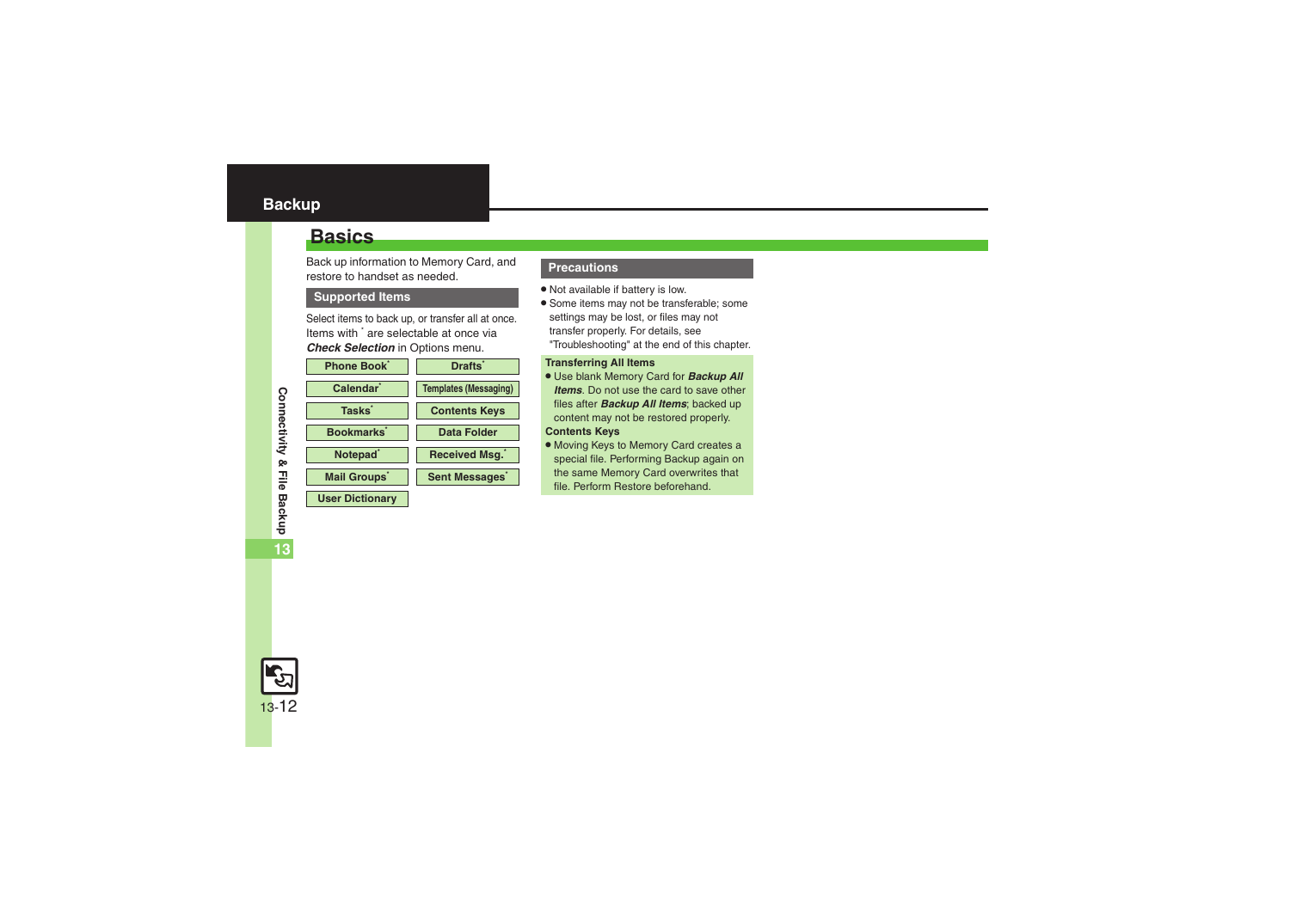## <span id="page-11-1"></span><span id="page-11-0"></span>**Basics**

Back up information to Memory Card, and restore to handset as needed.

#### **Supported Items**

Select items to back up, or transfer all at once. Items with \* are selectable at once via *Check Selection* in Options menu.

| <b>Phone Book</b>      | <b>Drafts</b>                |
|------------------------|------------------------------|
| Calendar <sup>'</sup>  | <b>Templates (Messaging)</b> |
| Tasks <sup>*</sup>     | <b>Contents Keys</b>         |
| <b>Bookmarks</b>       | Data Folder                  |
| Notepad <sup>*</sup>   | <b>Received Msg.</b>         |
| <b>Mail Groups</b>     | <b>Sent Messages</b>         |
| <b>User Dictionary</b> |                              |

#### **Precautions**

- . Not available if battery is low.
- . Some items may not be transferable; some settings may be lost, or files may not transfer properly. For details, see "Troubleshooting" at the end of this chapter.

#### **Transferring All Items**

. Use blank Memory Card for *Backup All Items*. Do not use the card to save other files after *Backup All Items*; backed up content may not be restored properly.

#### **Contents Keys**

. Moving Keys to Memory Card creates a special file. Performing Backup again on the same Memory Card overwrites that file. Perform Restore beforehand.

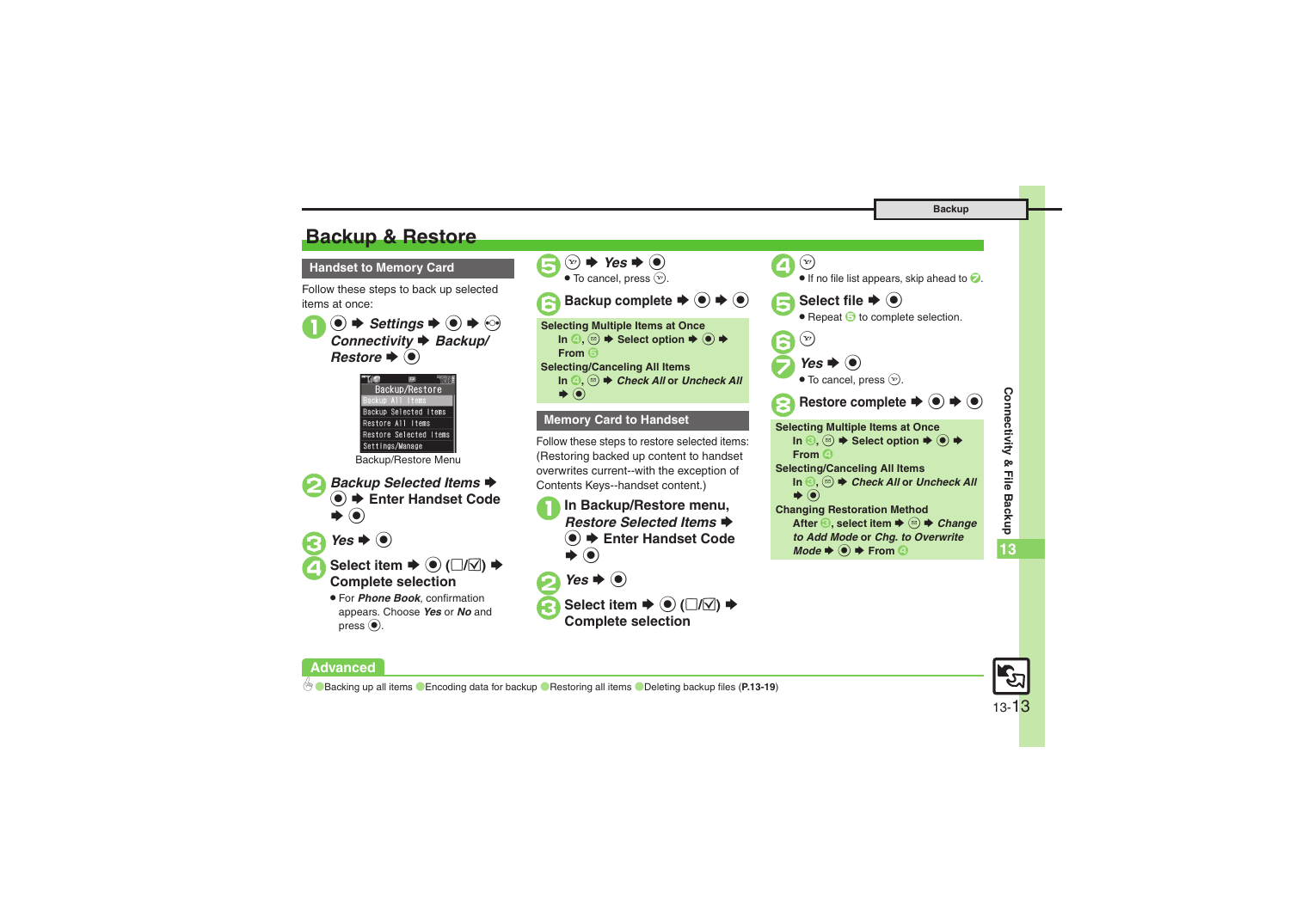## <span id="page-12-0"></span>**Backup & Restore**

**Handset to Memory Card**

Follow these steps to back up selected items at once:

 $\mathbf 0$  $\circledcirc$   $\Rightarrow$  *Settings*  $\Rightarrow$   $\circledcirc$   $\Rightarrow$   $\circledcirc$ Connectivity **→** Backup/ **Restore**  $\blacklozenge$ 



Backup/Restore Menu



 $\bigodot$  Yes  $\bigodot$ 

**Advanced**

Select item  $\rightarrow$   $\odot$  ( $\Box$ / $\boxtimes$ )  $\rightarrow$ **Complete selection**

> . For *Phone Book*, confirmation appears. Choose *Yes* or *No* and press  $\textcircled{\scriptsize{\bullet}}$ .



**In Backup/Restore menu,** Restore Selected Items → **<sup>●</sup> Enter Handset Code** S $\left( \bullet \right)$ 



**8** Select item  $\rightarrow$  **●** (□**/** $\Box$ )  $\rightarrow$ 

**Complete selection**



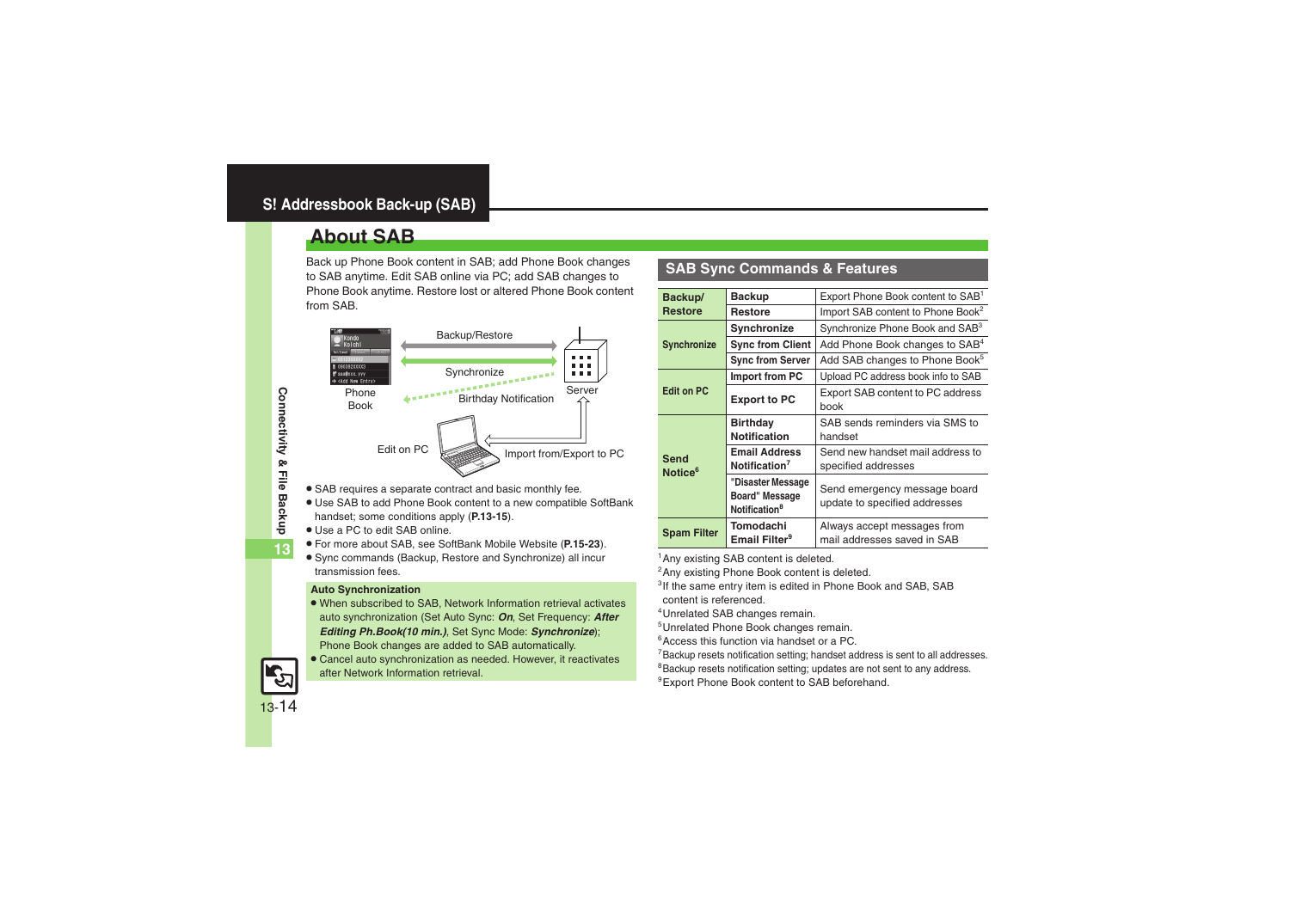## <span id="page-13-1"></span><span id="page-13-0"></span>**About SAB**

Back up Phone Book content in SAB; add Phone Book changes to SAB anytime. Edit SAB online via PC; add SAB changes to Phone Book anytime. Restore lost or altered Phone Book content from SAB.



- . SAB requires a separate contract and basic monthly fee.
- . Use SAB to add Phone Book content to a new compatible SoftBank handset; some conditions apply (**[P.13-15](#page-14-0)**).
- . Use a PC to edit SAB online.
- . For more about SAB, see SoftBank Mobile Website (**P.15-23**).
- . Sync commands (Backup, Restore and Synchronize) all incur transmission fees.

#### **Auto Synchronization**

- . When subscribed to SAB, Network Information retrieval activates auto synchronization (Set Auto Sync: *On*, Set Frequency: *After Editing Ph.Book(10 min.)*, Set Sync Mode: *Synchronize*); Phone Book changes are added to SAB automatically.
- . Cancel auto synchronization as needed. However, it reactivates after Network Information retrieval.

#### **SAB Sync Commands & Features**

| Backup/                                                                                                             | <b>Backup</b>                                                    | Export Phone Book content to SAB <sup>1</sup>                 |
|---------------------------------------------------------------------------------------------------------------------|------------------------------------------------------------------|---------------------------------------------------------------|
| <b>Restore</b>                                                                                                      | <b>Restore</b>                                                   | Import SAB content to Phone Book <sup>2</sup>                 |
|                                                                                                                     | Synchronize                                                      | Synchronize Phone Book and SAB <sup>3</sup>                   |
| <b>Synchronize</b>                                                                                                  | <b>Sync from Client</b>                                          | Add Phone Book changes to SAB <sup>4</sup>                    |
|                                                                                                                     | <b>Sync from Server</b>                                          | Add SAB changes to Phone Book <sup>5</sup>                    |
|                                                                                                                     | Import from PC                                                   | Upload PC address book info to SAB                            |
| <b>Edit on PC</b>                                                                                                   | <b>Export to PC</b>                                              | Export SAB content to PC address<br>book                      |
| <b>Birthday</b><br>Notification<br><b>Email Address</b><br>Send<br>Notification <sup>7</sup><br>Notice <sup>6</sup> | SAB sends reminders via SMS to<br>handset                        |                                                               |
|                                                                                                                     |                                                                  | Send new handset mail address to<br>specified addresses       |
|                                                                                                                     | "Disaster Message<br>Board" Message<br>Notification <sup>8</sup> | Send emergency message board<br>update to specified addresses |
| <b>Spam Filter</b>                                                                                                  | Tomodachi<br>Email Filter <sup>9</sup>                           | Always accept messages from<br>mail addresses saved in SAB    |

<sup>1</sup>Any existing SAB content is deleted.

2Any existing Phone Book content is deleted.

<sup>3</sup>If the same entry item is edited in Phone Book and SAB, SAB content is referenced.

4Unrelated SAB changes remain.

5Unrelated Phone Book changes remain.

6Access this function via handset or a PC.

<sup>7</sup>Backup resets notification setting; handset address is sent to all addresses.

<sup>8</sup>Backup resets notification setting; updates are not sent to any address.

9Export Phone Book content to SAB beforehand.

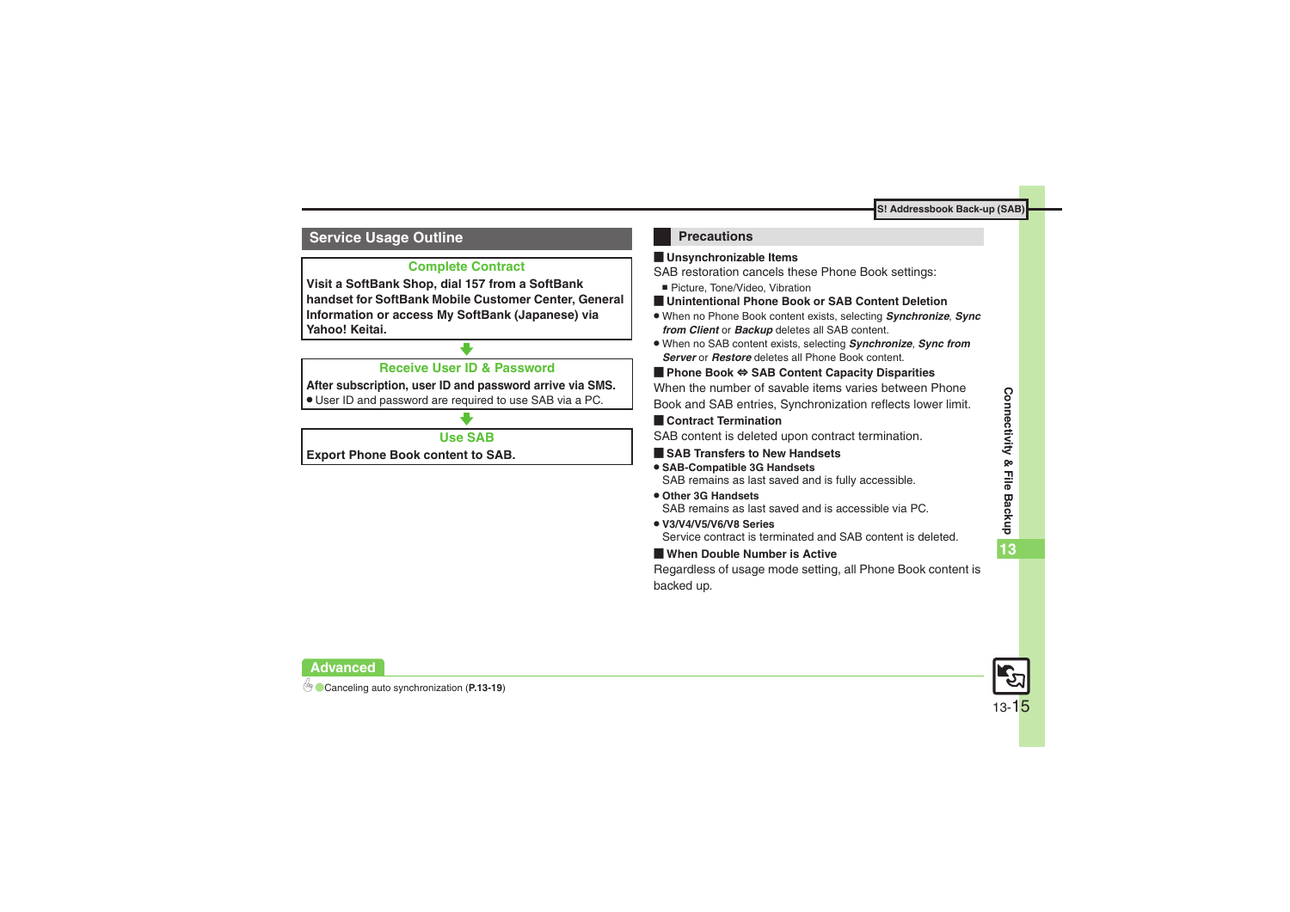#### <span id="page-14-0"></span>**Service Usage Outline**

#### **Complete Contract**

**Visit a SoftBank Shop, dial 157 from a SoftBank handset for SoftBank Mobile Customer Center, General Information or access My SoftBank (Japanese) via Yahoo! Keitai.**

#### **Receive User ID & Password**

**After subscription, user ID and password arrive via SMS.**

. User ID and password are required to use SAB via a PC.

#### **Use SAB**

**Export Phone Book content to SAB.**

#### **Precautions**

#### [ **Unsynchronizable Items**

SAB restoration cancels these Phone Book settings:

- Picture, Tone/Video, Vibration
- [ **Unintentional Phone Book or SAB Content Deletion**
- . When no Phone Book content exists, selecting *Synchronize*, *Sync from Client* or *Backup* deletes all SAB content.
- . When no SAB content exists, selecting *Synchronize*, *Sync from Server* or *Restore* deletes all Phone Book content.

#### [ **Phone Book**  <sup>⇔</sup> **SAB Content Capacity Disparities**

When the number of savable items varies between Phone Book and SAB entries, Synchronization reflects lower limit.

#### **Exercicle Contract Termination**

SAB content is deleted upon contract termination.

- $\blacksquare$  **SAB Transfers to New Handsets**
- . **SAB-Compatible 3G Handsets** SAB remains as last saved and is fully accessible.
- . **Other 3G Handsets**SAB remains as last saved and is accessible via PC.
- . **V3/V4/V5/V6/V8 Series**Service contract is terminated and SAB content is deleted.

#### [ **When Double Number is Active**

Regardless of usage mode setting, all Phone Book content is backed up.

13-15

**Advanced**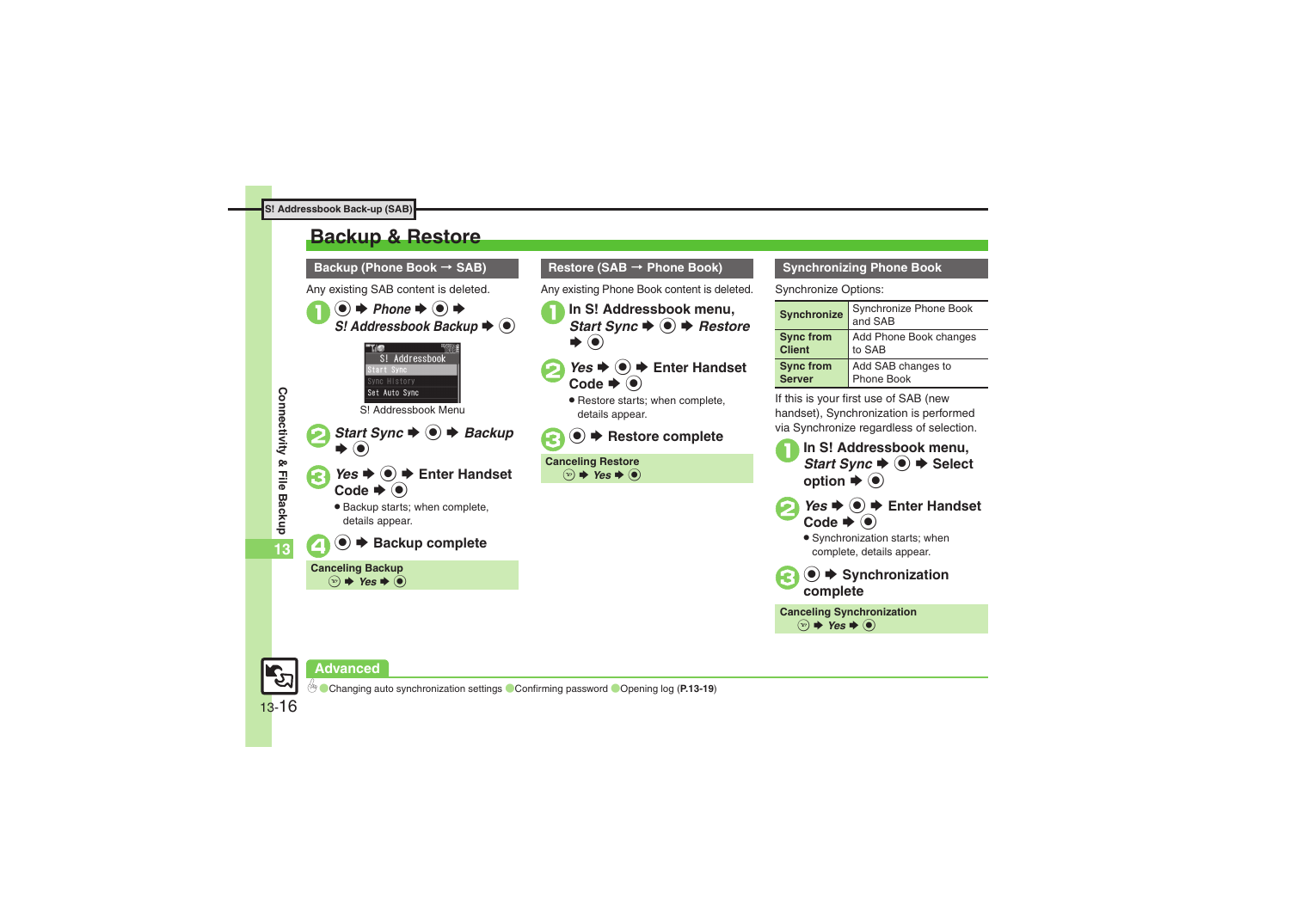## <span id="page-15-0"></span>**Backup & Restore**



#### **Restore (SAB → Phone Book)**

Any existing Phone Book content is deleted.

- **In S! Addressbook menu,**<br>*Start Sync* → **●** → *Restore*  $\blacktriangleright$   $\odot$
- *Yes*  $\rightarrow$  <del>D</del> Enter Handset Code  $\blacktriangleright$  ( $\blacklozenge$ )
	- . Restore starts; when complete, details appear.



**Canceling Restore**  $\circledcirc$   $\Rightarrow$  *Yes*  $\Rightarrow$   $\circledcirc$ 

#### **Synchronizing Phone Book**

Synchronize Options:

| <b>Synchronize</b> | Synchronize Phone Book<br>and SAB |
|--------------------|-----------------------------------|
| <b>Sync from</b>   | Add Phone Book changes            |
| <b>Client</b>      | to SAB                            |
| <b>Sync from</b>   | Add SAB changes to                |
| <b>Server</b>      | Phone Book                        |

If this is your first use of SAB (new handset), Synchronization is performed via Synchronize regardless of selection.



 $\circledcirc$   $\rightarrow$  *Yes*  $\rightarrow$   $\circledcirc$ 

13-16

**Advanced**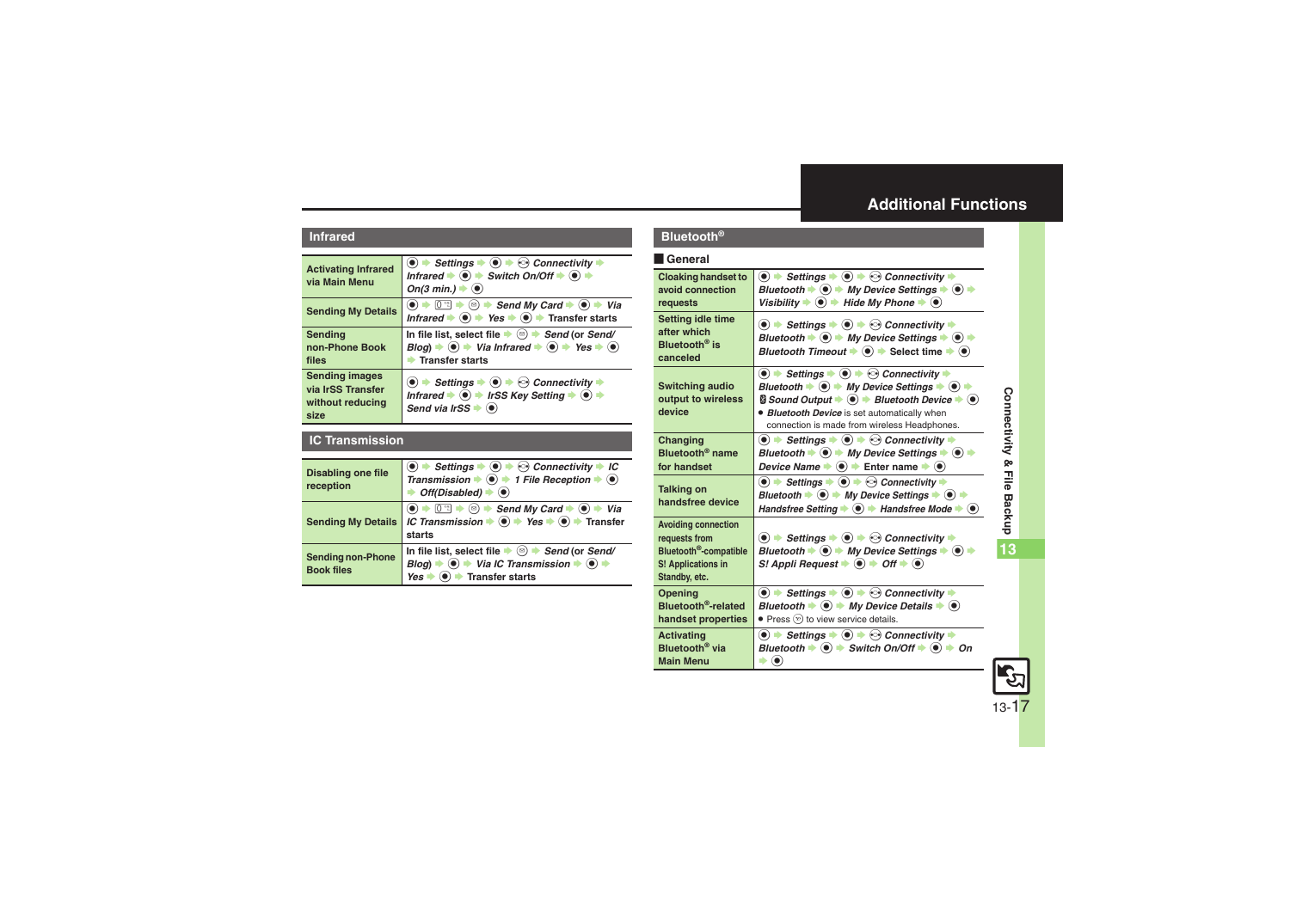### <span id="page-16-0"></span>**Additional Functions**

#### **Infrared**

<span id="page-16-4"></span><span id="page-16-3"></span><span id="page-16-1"></span>

| <b>Activating Infrared</b><br>via Main Menu                            | $\langle \bullet \rangle$ $\Rightarrow$ Settings $\Rightarrow$ $\langle \bullet \rangle$ $\Rightarrow$ Connectivity $\Rightarrow$<br>Infrared $\blacktriangleright$ ( $\blacklozenge$ ) $\blacktriangleright$ Switch On/Off $\blacktriangleright$ ( $\blacklozenge$ ) $\blacktriangleright$<br>On(3 min.) $\blacktriangleright$ ( $\blacklozenge$ ) |
|------------------------------------------------------------------------|-----------------------------------------------------------------------------------------------------------------------------------------------------------------------------------------------------------------------------------------------------------------------------------------------------------------------------------------------------|
| <b>Sending My Details</b>                                              | $[0:1] \rightarrow [0]$ $\rightarrow$ Send My Card $\rightarrow (0) \rightarrow$ Via<br>$\left( \bullet \right) \Rightarrow$<br>Infrared $\rightarrow$ ( $\bullet$ ) $\rightarrow$ Yes $\rightarrow$ ( $\bullet$ ) $\rightarrow$ Transfer starts                                                                                                    |
| Sendina<br>non-Phone Book<br>files                                     | In file list, select file $\blacktriangleright$ ( $\text{a})$ $\blacktriangleright$ Send (or Send/<br>$Blog$ ) $\Rightarrow$ $\bullet$ $\Rightarrow$ Via Infrared $\Rightarrow$ $\circ$ $\Rightarrow$ Yes $\Rightarrow$ $\circ$<br><b>Transfer starts</b>                                                                                           |
| <b>Sending images</b><br>via IrSS Transfer<br>without reducing<br>size | $\bullet$ $\bullet$ Settings $\bullet$ $\bullet$ $\bullet$ Connectivity $\bullet$<br>Infrared $\blacktriangleright$ ( $\blacktriangleright$ ) $\blacktriangleright$ IrSS Key Setting $\blacktriangleright$ ( $\blacktriangleright$ ) $\blacktriangleright$<br>Send via IrSS                                                                         |

#### <span id="page-16-2"></span>**IC Transmission**

<span id="page-16-7"></span><span id="page-16-6"></span><span id="page-16-5"></span>

| <b>Disabling one file</b><br>reception        | $\langle \bullet \rangle$ $\Rightarrow$ Settings $\Rightarrow$ $\langle \bullet \rangle$ $\Rightarrow$ Connectivity $\Rightarrow$ IC<br>Transmission $\Rightarrow$ $\odot$ $\Rightarrow$ 1 File Reception $\Rightarrow$ $\odot$<br>Off(Disabled) $\blacklozenge$ |
|-----------------------------------------------|------------------------------------------------------------------------------------------------------------------------------------------------------------------------------------------------------------------------------------------------------------------|
| <b>Sending My Details</b>                     | $\circledbullet \Rightarrow \Box$ $\Rightarrow$ $\circledcirc$ $\Rightarrow$ Send My Card $\Rightarrow$ $\circledcirc \Rightarrow$ Via<br>IC Transmission $\Rightarrow$ $\bullet \Rightarrow$ Yes $\Rightarrow$ $\bullet$ Transfer<br>starts                     |
| <b>Sending non-Phone</b><br><b>Book files</b> | In file list, select file $\blacktriangleright \textcircled{\scriptsize{\textcircled{\#}}}$ Send (or Send/<br>$\ddot{\bullet}$ $\Rightarrow$ Via IC Transmission $\dot{\bullet}$ $\dot{\bullet}$<br>$B$ loa) $\Rightarrow$<br>Transfer starts<br>Yes             |

#### **Bluetooth®**

#### [ **General**

<span id="page-16-14"></span><span id="page-16-13"></span><span id="page-16-12"></span><span id="page-16-11"></span><span id="page-16-10"></span><span id="page-16-9"></span><span id="page-16-8"></span>

| <b>Cloaking handset to</b>                                                                                               | $\bullet$ $\bullet$ Settings $\bullet$ $\bullet$ $\bullet$ Connectivity $\bullet$                                                                                                                                                                                                                                                                                                                                                                                                               |
|--------------------------------------------------------------------------------------------------------------------------|-------------------------------------------------------------------------------------------------------------------------------------------------------------------------------------------------------------------------------------------------------------------------------------------------------------------------------------------------------------------------------------------------------------------------------------------------------------------------------------------------|
| avoid connection                                                                                                         | Bluetooth $\blacktriangleright$ ( $\blacklozenge$ $\blacktriangleright$ My Device Settings $\blacktriangleright$ $\blacklozenge$ $\blacktriangleright$                                                                                                                                                                                                                                                                                                                                          |
| requests                                                                                                                 | Visibility $\blacklozenge$ $\blacklozenge$ Hide My Phone $\blacklozenge$ $\blacklozenge$                                                                                                                                                                                                                                                                                                                                                                                                        |
| Setting idle time<br>after which<br>Bluetooth <sup>®</sup> is<br>canceled                                                | $\bullet$ $\rightarrow$ Settings $\rightarrow$ $\bullet$ $\rightarrow$ $\odot$ Connectivity $\rightarrow$<br>Bluetooth $\Rightarrow$ $\circledast$ $\Rightarrow$ My Device Settings $\Rightarrow$ $\circledast$ $\Rightarrow$<br>Bluetooth Timeout $\blacktriangleright \textcircled{\textcircled{\textcirc}}$ $\blacktriangleright$ Select time $\blacktriangleright \textcircled{\textcircled{\textcirc}}$                                                                                    |
| <b>Switching audio</b><br>output to wireless<br>device                                                                   | $\bullet$ $\bullet$ Settings $\bullet$ $\bullet$ $\bullet$ Connectivity $\bullet$<br>Bluetooth $\blacktriangleright$ ( $\blacklozenge$ ) $\blacktriangleright$ My Device Settings $\blacktriangleright$ ( $\blacklozenge$ ) $\blacktriangleright$<br>$\textsf{S}$ Sound Output $\blacktriangleright$ ( $\textsf{O}$ $\blacktriangleright$ Bluetooth Device $\blacktriangleright$ $\textsf{O}$ )<br>· Bluetooth Device is set automatically when<br>connection is made from wireless Headphones. |
| Changing                                                                                                                 | $\textcircled{\textbullet}$ $\Rightarrow$ Settings $\Rightarrow$ $\textcircled{\textbullet}$ $\Rightarrow$ Connectivity $\Rightarrow$                                                                                                                                                                                                                                                                                                                                                           |
| Bluetooth <sup>®</sup> name                                                                                              | Bluetooth $\blacktriangleright$ ( $\blacklozenge$ $\blacktriangleright$ My Device Settings $\blacktriangleright$ $\blacklozenge$ $\blacktriangleright$                                                                                                                                                                                                                                                                                                                                          |
| for handset                                                                                                              | Device Name $\Rightarrow$ $\textcircled{\textcolor{blue}{\blacktriangleright}}$ Enter name $\Rightarrow$ $\textcircled{\textcolor{blue}{\blacktriangleright}}$                                                                                                                                                                                                                                                                                                                                  |
| <b>Talking on</b><br>handsfree device                                                                                    | $\bullet$ $\bullet$ Settings $\bullet$ $\bullet$ $\bullet$ $\bullet$ Connectivity $\bullet$<br>Bluetooth $\blacktriangleright$ ( $\blacklozenge$ $\blacktriangleright$ My Device Settings $\blacktriangleright$ $\blacklozenge$ $\blacktriangleright$<br>Handsfree Setting $\blacklozenge$ + Handsfree Mode + $\textcircled{\tiny{\bullet}}$                                                                                                                                                    |
| <b>Avoiding connection</b><br>requests from<br>Bluetooth <sup>®</sup> -compatible<br>S! Applications in<br>Standby, etc. | $\textcircled{\textbf{I}}$ $\Rightarrow$ Settings $\Rightarrow$ $\textcircled{\textbf{I}}$ $\Rightarrow$ Connectivity $\Rightarrow$<br>Bluetooth $\Rightarrow$ $\circledast$ $\Rightarrow$ My Device Settings $\Rightarrow$ $\circledast$ $\Rightarrow$<br>S! Appli Request $\Rightarrow$ ( $\bullet$ ) $\Rightarrow$ Off $\Rightarrow$ ( $\bullet$ )                                                                                                                                           |
| Opening                                                                                                                  | $\textcircled{\textbullet}$ $\Rightarrow$ Settings $\Rightarrow$ $\textcircled{\textbullet}$ $\Rightarrow$ Connectivity $\Rightarrow$                                                                                                                                                                                                                                                                                                                                                           |
| Bluetooth <sup>®</sup> -related                                                                                          | Bluetooth $\Rightarrow$ ( $\bullet$ ) $\Rightarrow$ My Device Details $\Rightarrow$ ( $\bullet$ )                                                                                                                                                                                                                                                                                                                                                                                               |
| handset properties                                                                                                       | • Press $\mathcal{P}$ to view service details.                                                                                                                                                                                                                                                                                                                                                                                                                                                  |
| <b>Activating</b>                                                                                                        | $\bullet$ $\bullet$ Settings $\bullet$ $\bullet$ $\bullet$ Connectivity $\bullet$                                                                                                                                                                                                                                                                                                                                                                                                               |
| Bluetooth <sup>®</sup> via                                                                                               | Bluetooth $\blacktriangleright$ ( $\blacklozenge$ ) $\blacktriangleright$ Switch On/Off $\blacktriangleright$ ( $\blacklozenge$ ) $\blacktriangleright$ On                                                                                                                                                                                                                                                                                                                                      |
| <b>Main Menu</b>                                                                                                         | $\blacktriangleright$ (e)                                                                                                                                                                                                                                                                                                                                                                                                                                                                       |

<span id="page-16-15"></span>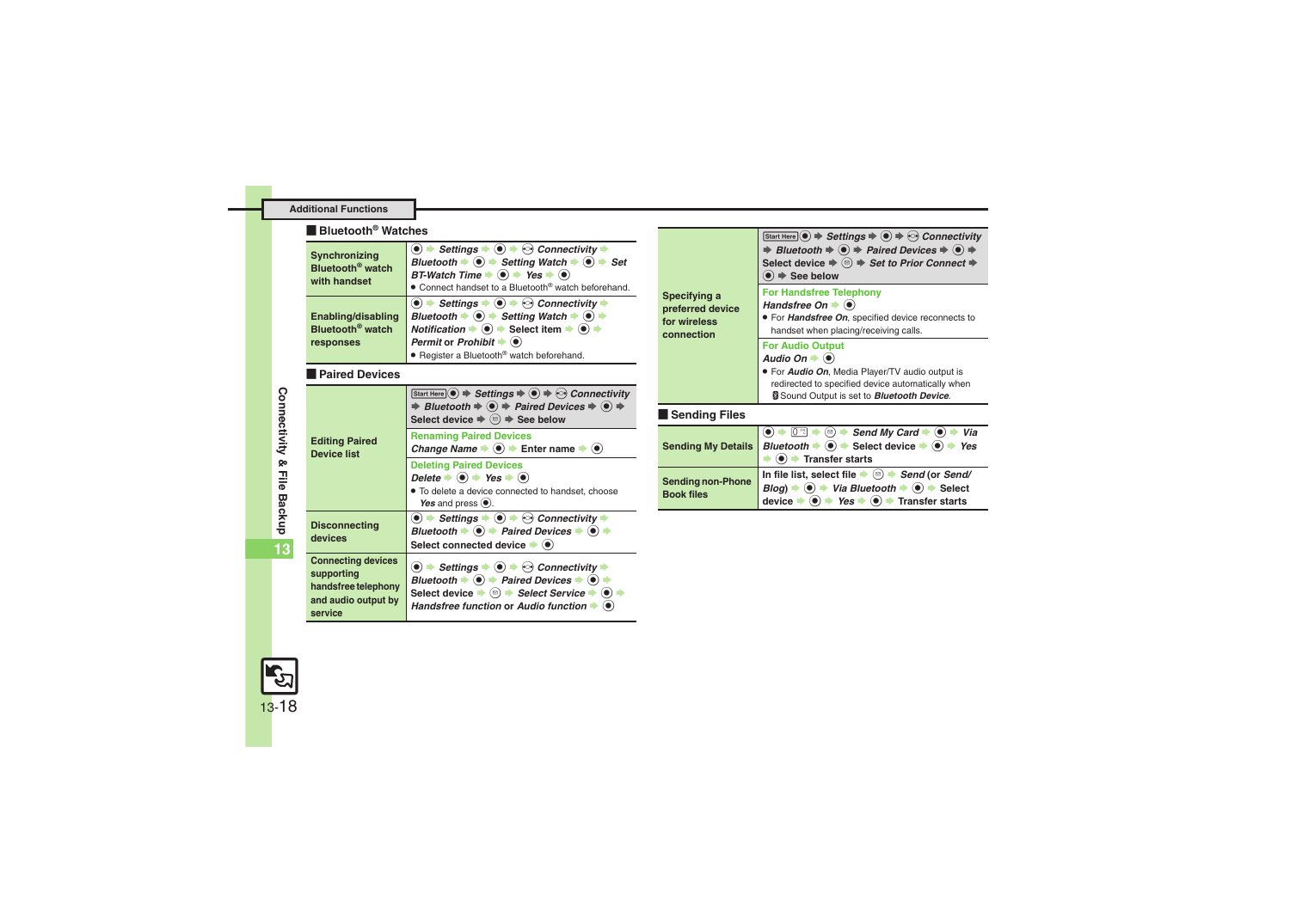#### **Additional Functions**

#### [ **Bluetooth® Watches**

<span id="page-17-0"></span>

| Synchronizing<br>Bluetooth <sup>®</sup> watch<br>with handset   | $\bullet$ $\bullet$ Settings $\bullet$ $\bullet$ $\bullet$ $\bullet$ Connectivity $\bullet$<br>Bluetooth $\Rightarrow$ $\circledast$ $\Rightarrow$ Setting Watch $\Rightarrow$ $\circledast$ $\Rightarrow$ Set<br>BT-Watch Time $\Rightarrow$ ( $\bullet$ ) $\Rightarrow$ Yes $\Rightarrow$ ( $\bullet$ )<br>. Connect handset to a Bluetooth® watch beforehand.                                                                                                              |
|-----------------------------------------------------------------|-------------------------------------------------------------------------------------------------------------------------------------------------------------------------------------------------------------------------------------------------------------------------------------------------------------------------------------------------------------------------------------------------------------------------------------------------------------------------------|
| Enabling/disabling<br>Bluetooth <sup>®</sup> watch<br>responses | $\langle \bullet \rangle$ $\Rightarrow$ Settings $\Rightarrow$ $\langle \bullet \rangle$ $\Rightarrow$ Connectivity $\Rightarrow$<br>Bluetooth $\Rightarrow$ $\circledast$ $\Rightarrow$ Setting Watch $\Rightarrow$ $\circledast$ $\Rightarrow$<br>Notification $\Rightarrow$ $\circledast$ $\Rightarrow$ Select item $\Rightarrow$ $\circledast$ $\Rightarrow$<br>Permit or Prohibit $\blacktriangleright$ ( $\blacklozenge$ )<br>• Register a Bluetooth® watch beforehand. |

#### <span id="page-17-1"></span>[ **Paired Devices**

<span id="page-17-3"></span><span id="page-17-2"></span>

| <b>Editing Paired</b><br><b>Device list</b>                                                      | Start Here $\odot$ $\Rightarrow$ Settings $\Rightarrow$ $\odot$ $\Rightarrow$ $\odot$ Connectivity<br>⇒ Bluetooth $\Rightarrow$ ( $\bullet$ ) $\Rightarrow$ Paired Devices $\Rightarrow$ ( $\bullet$ ) $\Rightarrow$<br>Select device $\Rightarrow$ $\textcircled{a}$ $\Rightarrow$ See below                                                                                                                                                    |
|--------------------------------------------------------------------------------------------------|--------------------------------------------------------------------------------------------------------------------------------------------------------------------------------------------------------------------------------------------------------------------------------------------------------------------------------------------------------------------------------------------------------------------------------------------------|
|                                                                                                  | <b>Renaming Paired Devices</b><br>Change Name $\blacktriangleright$ (0) $\blacktriangleright$ Enter name $\blacktriangleright$ (0)                                                                                                                                                                                                                                                                                                               |
|                                                                                                  | <b>Deleting Paired Devices</b><br>Delete $\blacktriangleright$ ( $\blacklozenge$ ) $\blacktriangleright$ Yes $\blacktriangleright$ ( $\blacklozenge$ )<br>• To delete a device connected to handset, choose<br>Yes and press $\odot$ .                                                                                                                                                                                                           |
| <b>Disconnecting</b><br>devices                                                                  | $\textcircled{\bullet}$ $\Rightarrow$ Settings $\Rightarrow$ $\textcircled{\bullet}$ $\Rightarrow$ $\textcircled{\circ}$ Connectivity $\Rightarrow$<br>Bluetooth $\bullet$ ( $\bullet$ ) $\bullet$ Paired Devices $\bullet$ ( $\bullet$ ) $\bullet$<br>Select connected device $\bullet$ ( $\bullet$ )                                                                                                                                           |
| <b>Connecting devices</b><br>supporting<br>handsfree telephony<br>and audio output by<br>service | $\bullet$ $\rightarrow$ Settings $\rightarrow$ $\bullet$ $\rightarrow$ $\odot$ Connectivity $\rightarrow$<br>Bluetooth $\blacktriangleright$ ( $\blacklozenge$ ) $\blacktriangleright$ Paired Devices $\blacktriangleright$ ( $\blacklozenge$ )<br>Select device $\blacktriangleright$ ( $\text{D}$ ) $\blacktriangleright$ Select Service $\blacktriangleright$ ( $\blacklozenge$ )<br>Handsfree function or Audio function $\bullet$ $\bullet$ |

<span id="page-17-7"></span><span id="page-17-6"></span><span id="page-17-5"></span>

| Specifying a<br>preferred device<br>for wireless<br>connection | Start Here $\circledcirc \Rightarrow$ Settings $\Rightarrow \circledcirc \Rightarrow$ Connectivity<br>⇒ Bluetooth $\Rightarrow$ ( $\bullet$ ) $\Rightarrow$ Paired Devices $\Rightarrow$ ( $\bullet$ ) $\Rightarrow$<br>Select device $\Rightarrow$ $\circledcirc$ $\Rightarrow$ Set to Prior Connect $\Rightarrow$<br>$\bullet$ $\Rightarrow$ See below |
|----------------------------------------------------------------|----------------------------------------------------------------------------------------------------------------------------------------------------------------------------------------------------------------------------------------------------------------------------------------------------------------------------------------------------------|
|                                                                | <b>For Handsfree Telephony</b><br>Handsfree On $\bullet$ ( $\bullet$ )<br>· For Handsfree On, specified device reconnects to<br>handset when placing/receiving calls.                                                                                                                                                                                    |
|                                                                | <b>For Audio Output</b><br>Audio On $\blacktriangleright$ ( $\blacklozenge$ )<br>. For <b>Audio On</b> , Media Player/TV audio output is<br>redirected to specified device automatically when<br>Sound Output is set to <b>Bluetooth Device</b> .                                                                                                        |
| <b>Sending Files</b>                                           |                                                                                                                                                                                                                                                                                                                                                          |
| <b>Sending My Details</b>                                      | $[0th]$ $\Rightarrow$ ( $\cong$ ) $\Rightarrow$ Send My Card $\Rightarrow$ ( $\bullet$ ) $\Rightarrow$<br>Via<br>Bluetooth $\Rightarrow$ ( $\bullet$ ) $\Rightarrow$ Select device $\Rightarrow$ ( $\bullet$ )<br>Yes<br>$\left( \bullet \right)$ Transfer starts                                                                                        |
| <b>Sending non-Phone</b><br><b>Book files</b>                  | In file list, select file $\blacktriangleright$ ( $\cong$ ) $\blacktriangleright$ Send (or Send/<br>$Blog$ ) $\Rightarrow$ ( $\bullet$ ) $\Rightarrow$ Via Bluetooth $\Rightarrow$ ( $\bullet$ ) $\Rightarrow$ Select<br>device $\Rightarrow$ ( $\bullet$ ) $\Rightarrow$ Yes $\Rightarrow$ ( $\bullet$ ) $\Rightarrow$ Transfer starts                  |
|                                                                |                                                                                                                                                                                                                                                                                                                                                          |

<span id="page-17-4"></span>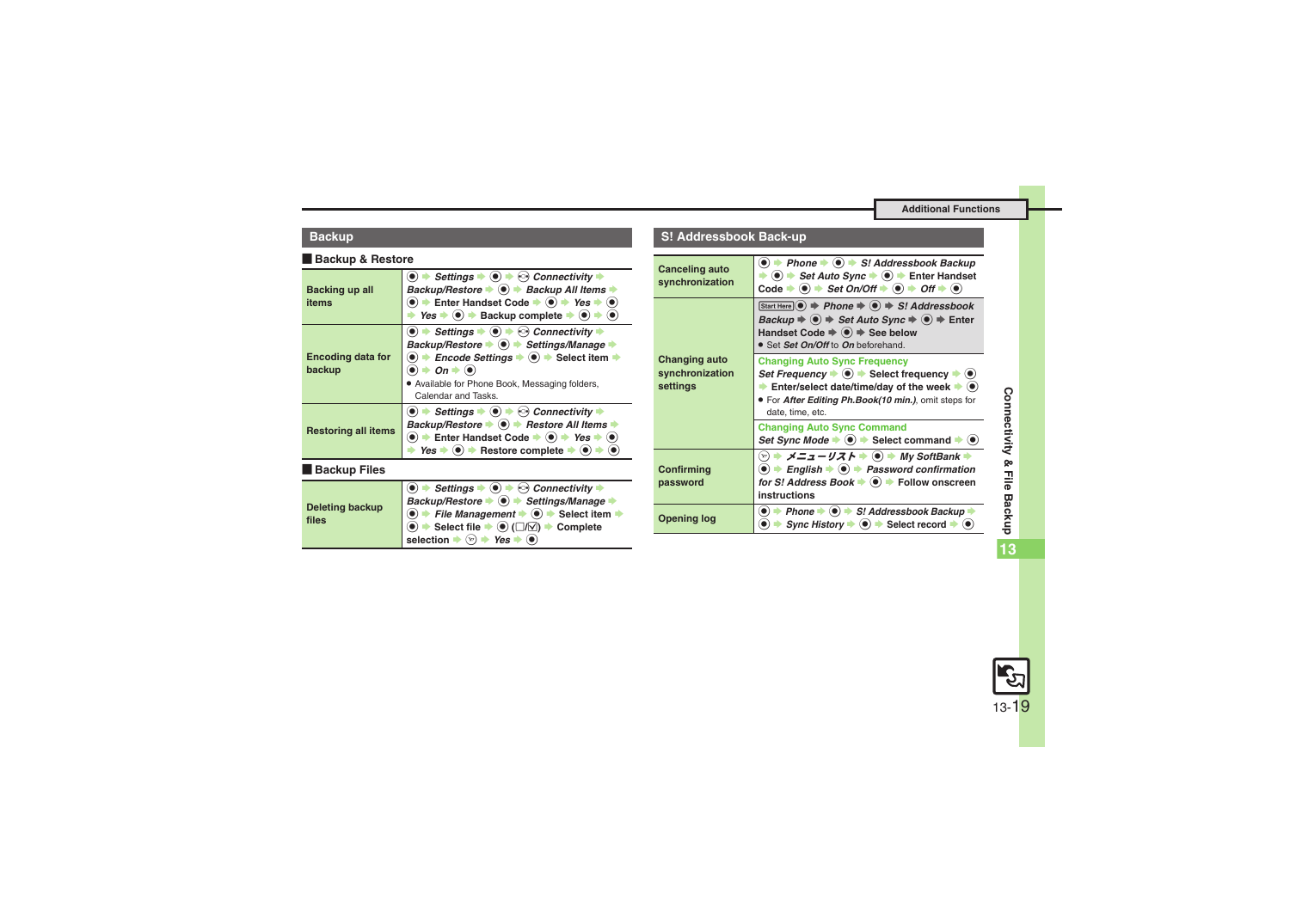#### **Backup**

#### [ **Backup & Restore**

<span id="page-18-1"></span><span id="page-18-0"></span>

| Backing up all<br>items            | $\bullet$ $\bullet$ Settings $\bullet$ $\bullet$ $\bullet$ $\bullet$ Connectivity $\bullet$<br>Backup/Restore $\bullet$ $\bullet$ $\bullet$ Backup All Items $\bullet$<br>$\bullet$ $\bullet$ Enter Handset Code $\bullet$ $\bullet$ $\bullet$ Yes $\bullet$ $\bullet$<br>Yes $\Rightarrow$ ( $\bullet$ ) $\Rightarrow$ Backup complete $\Rightarrow$ ( $\bullet$ ) $\Rightarrow$ |
|------------------------------------|-----------------------------------------------------------------------------------------------------------------------------------------------------------------------------------------------------------------------------------------------------------------------------------------------------------------------------------------------------------------------------------|
| <b>Encoding data for</b><br>backup | $\bullet$ $\bullet$ Settings $\bullet$ $\bullet$ $\bullet$ $\odot$ Connectivity $\bullet$<br>Backup/Restore → (•) → Settings/Manage →<br>$\bullet$ $\bullet$ Encode Settings $\bullet$ $\bullet$ $\bullet$ Select item $\bullet$<br>$\bullet$ $\bullet$ On $\bullet$ $\bullet$<br>• Available for Phone Book, Messaging folders,<br>Calendar and Tasks.                           |
| <b>Restoring all items</b>         | $\bullet$ $\bullet$ Settings $\bullet$ $\bullet$ $\bullet$ $\bullet$ Connectivity $\bullet$<br>Backup/Restore $\bullet$ $\bullet$ $\bullet$ Restore All Items $\bullet$<br>$\bullet$ $\bullet$ Enter Handset Code $\bullet$ $\bullet$ $\bullet$ Yes $\bullet$ $\bullet$<br>Yes $\Rightarrow$ ( $\bullet$ ) $\Rightarrow$ Restore complete $\Rightarrow$ ( $\bullet$ )             |
| <b>Backup Files</b>                |                                                                                                                                                                                                                                                                                                                                                                                   |
|                                    | <b>Settings</b><br>$\langle \cdot \rangle$ Connectivity                                                                                                                                                                                                                                                                                                                           |

<span id="page-18-3"></span><span id="page-18-2"></span>

| Deleting backup | Backup/Restore → ● Settings/Manage                                                                      |
|-----------------|---------------------------------------------------------------------------------------------------------|
|                 | $\bigcirc$ $\rightarrow$ File Management $\rightarrow$ $\bigcirc$ $\rightarrow$ Select item             |
| files           | $\langle \bullet \rangle$ Select file $\Rightarrow \circledcirc$ ( $\Box/\Box$ ) $\Rightarrow$ Complete |
|                 | selection $\Rightarrow$ $\circledcirc$ $\Rightarrow$ Yes $\Rightarrow$ $\circledcirc$                   |

#### **S! Addressbook Back-up**

<span id="page-18-7"></span><span id="page-18-6"></span><span id="page-18-5"></span><span id="page-18-4"></span>

| Canceling auto<br>synchronization                   | $\bullet$ $\bullet$ Phone $\bullet$ $\bullet$ S! Addressbook Backup<br>$\bullet$ $\Rightarrow$ Set Auto Sync $\Rightarrow$ $\bullet$ $\Rightarrow$ Enter Handset<br>Code $\Rightarrow$ ( $\bullet$ ) $\Rightarrow$ Set On/Off $\Rightarrow$ ( $\bullet$ ) $\Rightarrow$ Off $\Rightarrow$ ( $\bullet$ )                                         |
|-----------------------------------------------------|-------------------------------------------------------------------------------------------------------------------------------------------------------------------------------------------------------------------------------------------------------------------------------------------------------------------------------------------------|
| <b>Changing auto</b><br>synchronization<br>settings | Start Here $\odot$ $\Rightarrow$ Phone $\Rightarrow$ $\odot$ $\Rightarrow$ S! Addressbook<br>Backup $\Rightarrow$ $\circledcirc$ $\Rightarrow$ Set Auto Sync $\Rightarrow$ $\circledcirc$ $\Rightarrow$ Enter<br>Handset Code $\Rightarrow$ $\bullet$ $\Rightarrow$ See below<br>• Set Set On/Off to On beforehand.                             |
|                                                     | <b>Changing Auto Sync Frequency</b><br>Set Frequency $\blacktriangleright$ ( $\blacklozenge$ ) $\blacktriangleright$ Select frequency $\blacktriangleright$ ( $\blacklozenge$ )<br>Enter/select date/time/day of the week $\blacktriangleright$ ( $\blacklozenge$ )<br>. For After Editing Ph.Book(10 min.), omit steps for<br>date, time, etc. |
|                                                     | <b>Changing Auto Sync Command</b><br>Set Sync Mode $\blacktriangleright$ ( $\blacklozenge$ ) $\blacktriangleright$ Select command $\blacktriangleright$ ( $\blacklozenge$ )                                                                                                                                                                     |
| Confirming<br>password                              | $\textcircled{\textbullet}$ $\textuparrow$ English $\textuparrowled{\textbullet}$ $\textuparrow$ Password confirmation<br>for S! Address Book $\blacktriangleright$ $\lvert \blacklozenge \rvert$ Follow onscreen<br>instructions                                                                                                               |
| <b>Opening log</b>                                  | ▶ Phone $\blacktriangleright$ ( $\blacktriangleright$ ) $\blacktriangleright$ S! Addressbook Backup<br>$\mathsf{Symc\,History} \bullet (\bullet) \bullet \mathsf{Select}\, record \bullet (\bullet)$                                                                                                                                            |

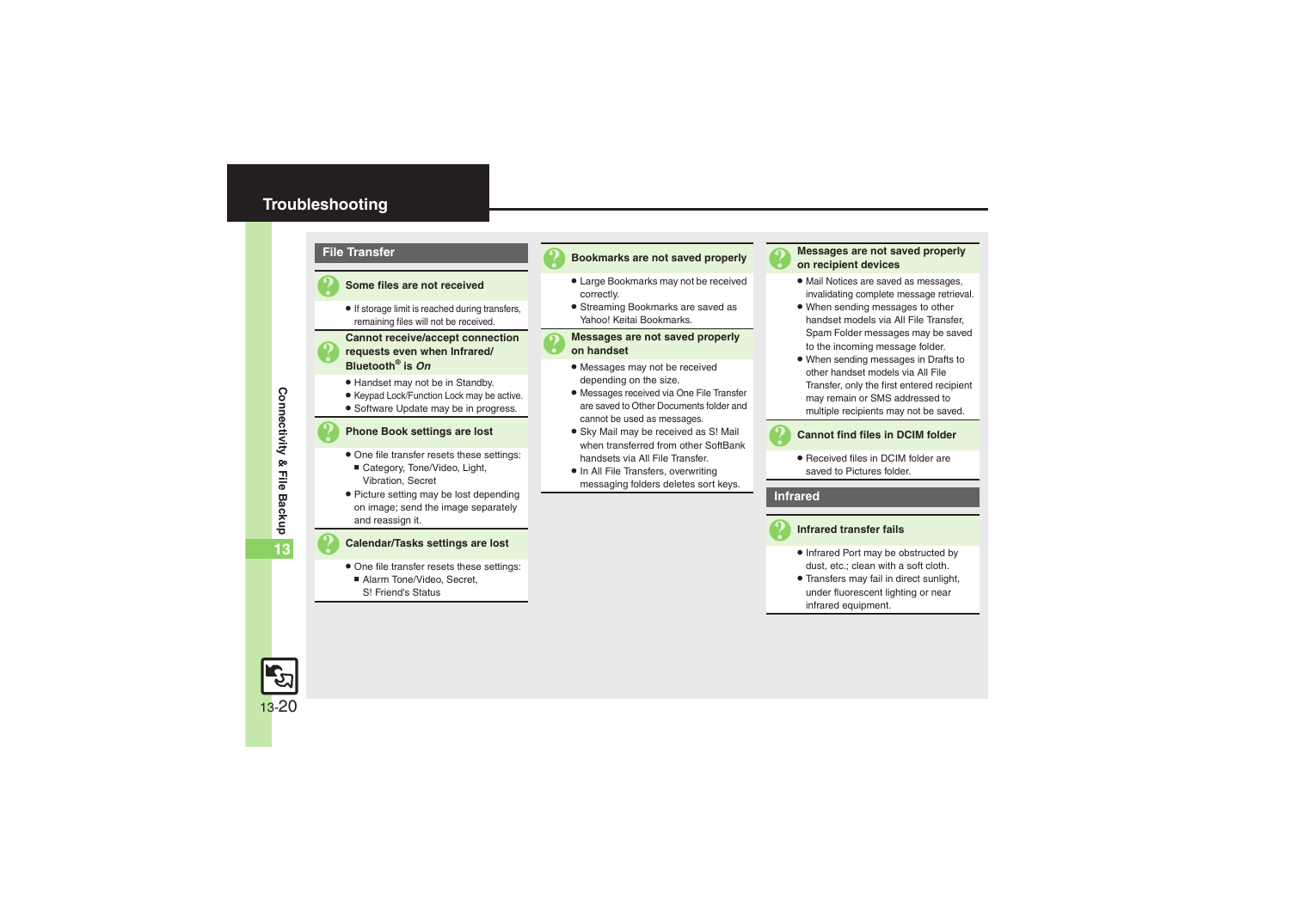### <span id="page-19-0"></span>**Troubleshooting**



13-20